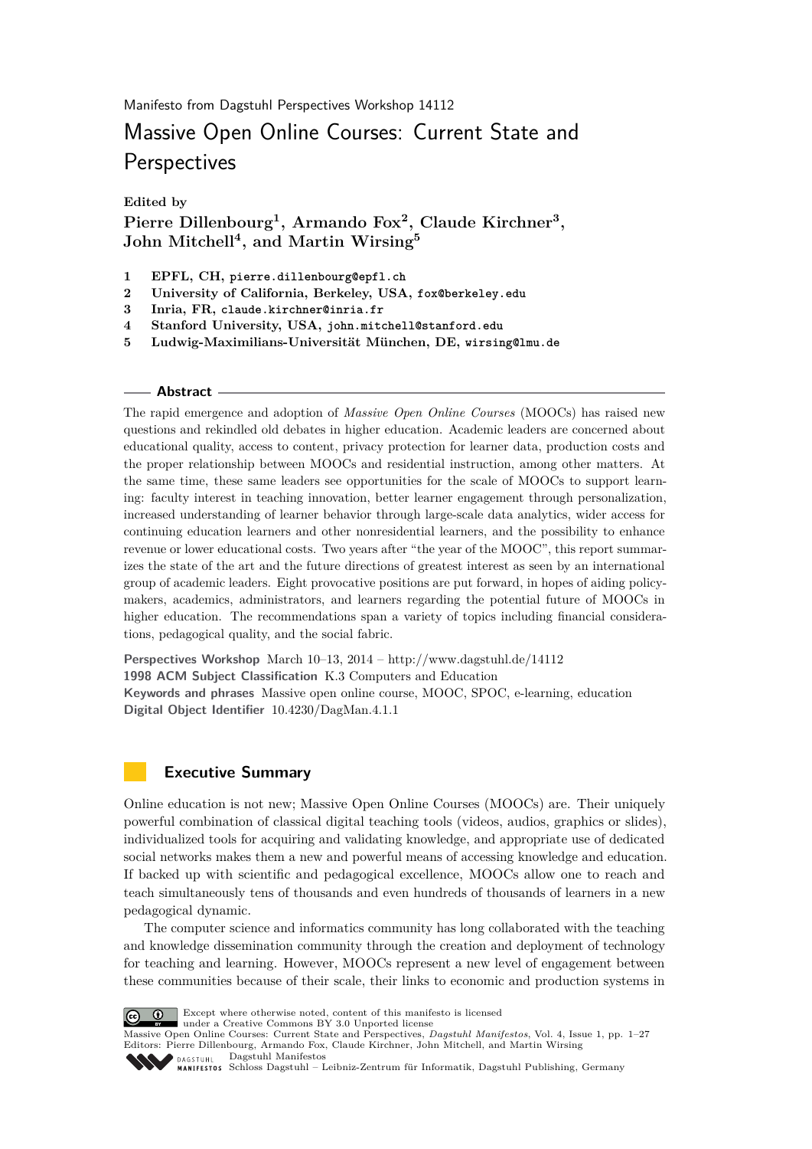Manifesto from Dagstuhl Perspectives Workshop 14112

# Massive Open Online Courses: Current State and **Perspectives**

**Edited by**

**Pierre Dillenbourg<sup>1</sup> , Armando Fox<sup>2</sup> , Claude Kirchner<sup>3</sup> , John Mitchell<sup>4</sup> , and Martin Wirsing<sup>5</sup>**

- **1 EPFL, CH, pierre.dillenbourg@epfl.ch**
- **2 University of California, Berkeley, USA, fox@berkeley.edu**
- **3 Inria, FR, claude.kirchner@inria.fr**
- **4 Stanford University, USA, john.mitchell@stanford.edu**
- **5 Ludwig-Maximilians-Universität München, DE, wirsing@lmu.de**

#### **Abstract**

The rapid emergence and adoption of *Massive Open Online Courses* (MOOCs) has raised new questions and rekindled old debates in higher education. Academic leaders are concerned about educational quality, access to content, privacy protection for learner data, production costs and the proper relationship between MOOCs and residential instruction, among other matters. At the same time, these same leaders see opportunities for the scale of MOOCs to support learning: faculty interest in teaching innovation, better learner engagement through personalization, increased understanding of learner behavior through large-scale data analytics, wider access for continuing education learners and other nonresidential learners, and the possibility to enhance revenue or lower educational costs. Two years after "the year of the MOOC", this report summarizes the state of the art and the future directions of greatest interest as seen by an international group of academic leaders. Eight provocative positions are put forward, in hopes of aiding policymakers, academics, administrators, and learners regarding the potential future of MOOCs in higher education. The recommendations span a variety of topics including financial considerations, pedagogical quality, and the social fabric.

**Perspectives Workshop** March 10–13, 2014 –<http://www.dagstuhl.de/14112> **1998 ACM Subject Classification** K.3 Computers and Education **Keywords and phrases** Massive open online course, MOOC, SPOC, e-learning, education **Digital Object Identifier** [10.4230/DagMan.4.1.1](http://dx.doi.org/10.4230/DagMan.4.1.1)

# <span id="page-0-0"></span>**Executive Summary**

Online education is not new; Massive Open Online Courses (MOOCs) are. Their uniquely powerful combination of classical digital teaching tools (videos, audios, graphics or slides), individualized tools for acquiring and validating knowledge, and appropriate use of dedicated social networks makes them a new and powerful means of accessing knowledge and education. If backed up with scientific and pedagogical excellence, MOOCs allow one to reach and teach simultaneously tens of thousands and even hundreds of thousands of learners in a new pedagogical dynamic.

The computer science and informatics community has long collaborated with the teaching and knowledge dissemination community through the creation and deployment of technology for teaching and learning. However, MOOCs represent a new level of engagement between these communities because of their scale, their links to economic and production systems in



Except where otherwise noted, content of this manifesto is licensed

under a [Creative Commons BY 3.0 Unported](http://creativecommons.org/licenses/by/3.0/) license Massive Open Online Courses: Current State and Perspectives, *Dagstuhl Manifestos*, Vol. 4, Issue 1, pp. 1[–27](#page-26-0) Editors: Pierre Dillenbourg, Armando Fox, Claude Kirchner, John Mitchell, and Martin Wirsing [Dagstuhl Manifestos](http://www.dagstuhl.de/dagman/)  $\bullet$  DAGSTILLE

[Schloss Dagstuhl – Leibniz-Zentrum für Informatik, Dagstuhl Publishing, Germany](http://www.dagstuhl.de)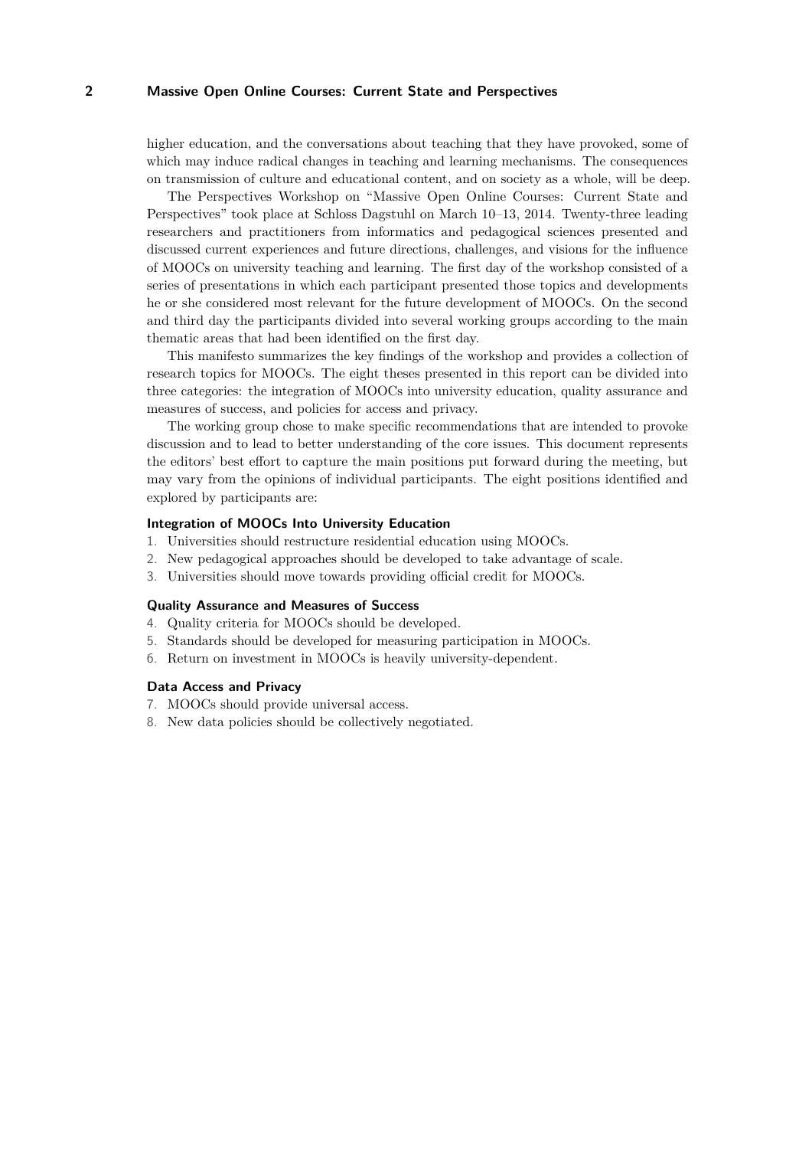higher education, and the conversations about teaching that they have provoked, some of which may induce radical changes in teaching and learning mechanisms. The consequences on transmission of culture and educational content, and on society as a whole, will be deep.

The Perspectives Workshop on "Massive Open Online Courses: Current State and Perspectives" took place at Schloss Dagstuhl on March 10–13, 2014. Twenty-three leading researchers and practitioners from informatics and pedagogical sciences presented and discussed current experiences and future directions, challenges, and visions for the influence of MOOCs on university teaching and learning. The first day of the workshop consisted of a series of presentations in which each participant presented those topics and developments he or she considered most relevant for the future development of MOOCs. On the second and third day the participants divided into several working groups according to the main thematic areas that had been identified on the first day.

This manifesto summarizes the key findings of the workshop and provides a collection of research topics for MOOCs. The eight theses presented in this report can be divided into three categories: the integration of MOOCs into university education, quality assurance and measures of success, and policies for access and privacy.

The working group chose to make specific recommendations that are intended to provoke discussion and to lead to better understanding of the core issues. This document represents the editors' best effort to capture the main positions put forward during the meeting, but may vary from the opinions of individual participants. The eight positions identified and explored by participants are:

#### **Integration of MOOCs Into University Education**

- 1. Universities should restructure residential education using MOOCs.
- 2. New pedagogical approaches should be developed to take advantage of scale.
- 3. Universities should move towards providing official credit for MOOCs.

#### **Quality Assurance and Measures of Success**

- 4. Quality criteria for MOOCs should be developed.
- 5. Standards should be developed for measuring participation in MOOCs.
- 6. Return on investment in MOOCs is heavily university-dependent.

#### **Data Access and Privacy**

- 7. MOOCs should provide universal access.
- 8. New data policies should be collectively negotiated.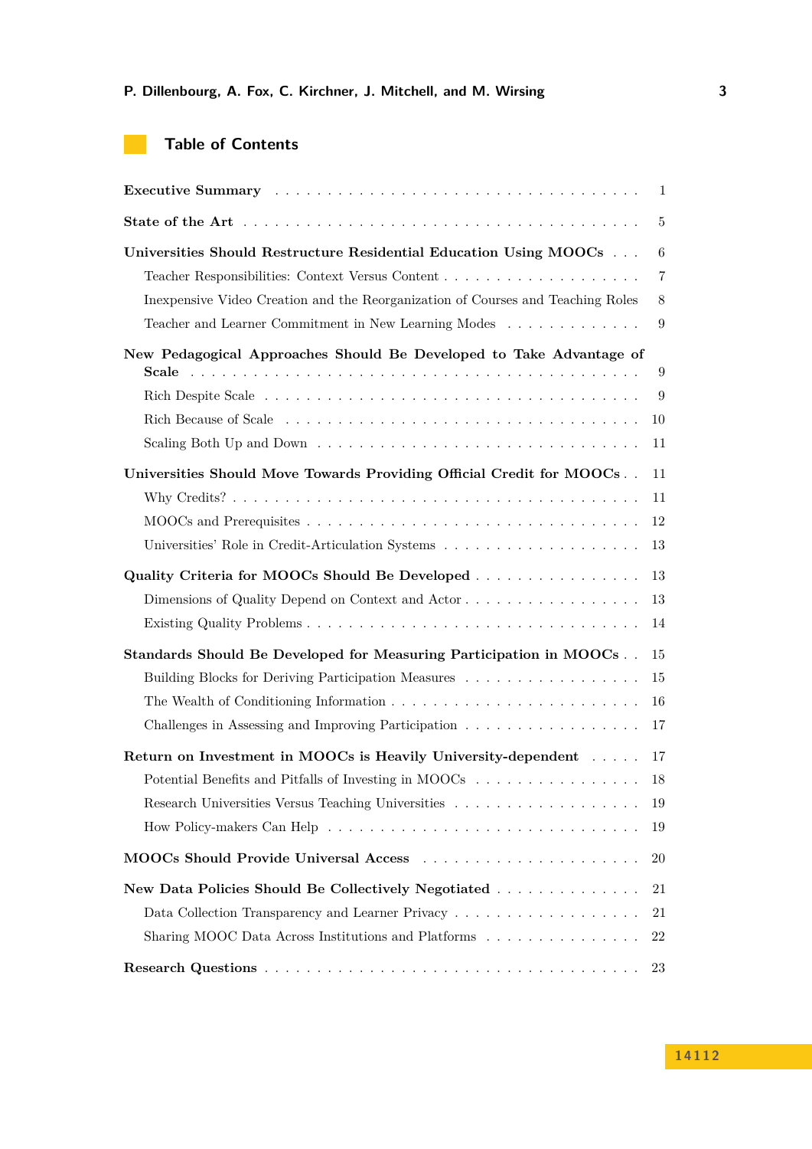| <b>Table of Contents</b> |  |  |  |
|--------------------------|--|--|--|
|--------------------------|--|--|--|

**Contract** 

|                                                                                          | $\mathbf{1}$ |
|------------------------------------------------------------------------------------------|--------------|
|                                                                                          | 5            |
| Universities Should Restructure Residential Education Using MOOCs                        | 6            |
|                                                                                          | 7            |
| In expensive Video Creation and the Reorganization of Courses and Teaching Roles         | 8            |
| Teacher and Learner Commitment in New Learning Modes                                     | 9            |
| New Pedagogical Approaches Should Be Developed to Take Advantage of                      |              |
|                                                                                          | 9            |
|                                                                                          | 9            |
|                                                                                          | 10           |
|                                                                                          | 11           |
| Universities Should Move Towards Providing Official Credit for MOOCs                     | 11           |
|                                                                                          | 11           |
|                                                                                          | 12           |
|                                                                                          | 13           |
| Quality Criteria for MOOCs Should Be Developed                                           | 13           |
|                                                                                          | 13           |
|                                                                                          | 14           |
| Standards Should Be Developed for Measuring Participation in MOOCs                       | 15           |
| Building Blocks for Deriving Participation Measures                                      | 15           |
|                                                                                          | 16           |
| Challenges in Assessing and Improving Participation $\ldots \ldots \ldots \ldots \ldots$ | 17           |
| Return on Investment in MOOCs is Heavily University-dependent                            | 17           |
|                                                                                          | 18           |
|                                                                                          | 19           |
|                                                                                          | 19           |
|                                                                                          | 20           |
| New Data Policies Should Be Collectively Negotiated                                      | 21           |
|                                                                                          | 21           |
| Sharing MOOC Data Across Institutions and Platforms                                      | 22           |
|                                                                                          | 23           |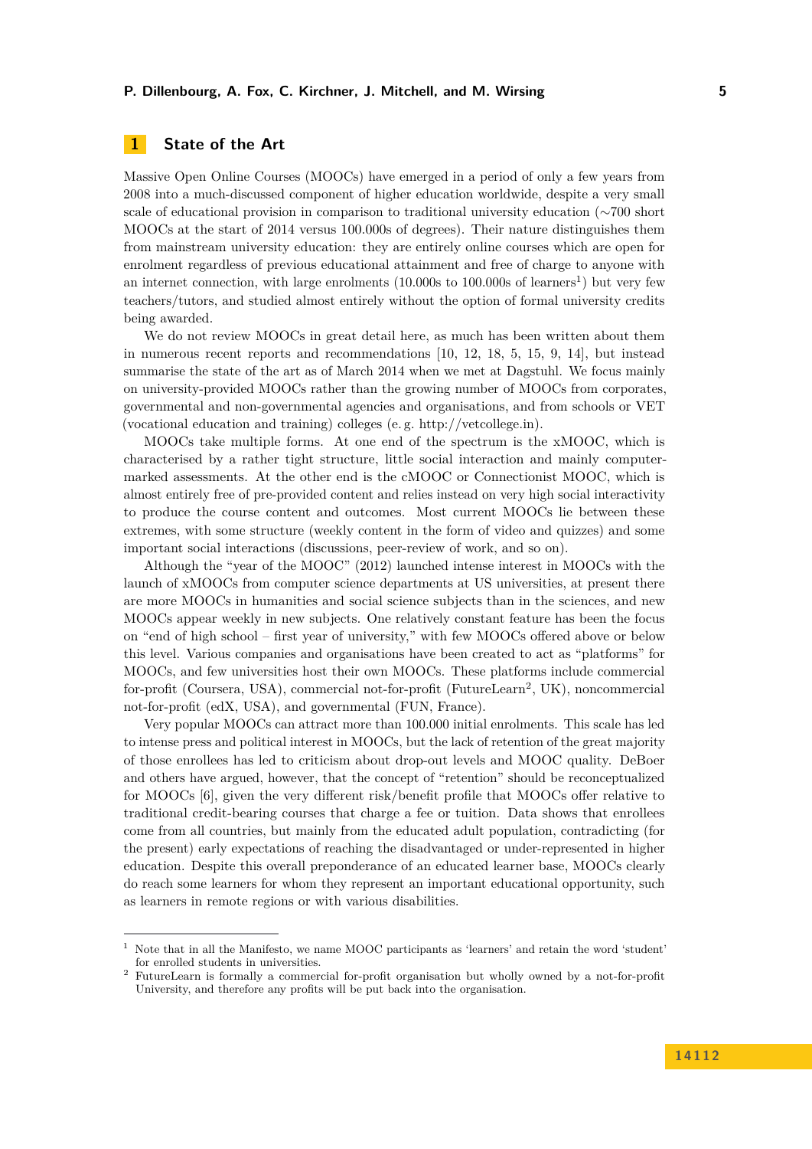# <span id="page-4-0"></span>**1 State of the Art**

Massive Open Online Courses (MOOCs) have emerged in a period of only a few years from 2008 into a much-discussed component of higher education worldwide, despite a very small scale of educational provision in comparison to traditional university education (∼700 short MOOCs at the start of 2014 versus 100.000s of degrees). Their nature distinguishes them from mainstream university education: they are entirely online courses which are open for enrolment regardless of previous educational attainment and free of charge to anyone with an internet connection, with large enrolments ([1](#page-4-1)0.000s to 100.000s of learners<sup>1</sup>) but very few teachers/tutors, and studied almost entirely without the option of formal university credits being awarded.

We do not review MOOCs in great detail here, as much has been written about them in numerous recent reports and recommendations [\[10,](#page-26-1) [12,](#page-26-2) [18,](#page-26-3) [5,](#page-26-4) [15,](#page-26-5) [9,](#page-26-6) [14\]](#page-26-7), but instead summarise the state of the art as of March 2014 when we met at Dagstuhl. We focus mainly on university-provided MOOCs rather than the growing number of MOOCs from corporates, governmental and non-governmental agencies and organisations, and from schools or VET (vocational education and training) colleges (e. g. [http://vetcollege.in\)](http://vetcollege.in).

MOOCs take multiple forms. At one end of the spectrum is the xMOOC, which is characterised by a rather tight structure, little social interaction and mainly computermarked assessments. At the other end is the cMOOC or Connectionist MOOC, which is almost entirely free of pre-provided content and relies instead on very high social interactivity to produce the course content and outcomes. Most current MOOCs lie between these extremes, with some structure (weekly content in the form of video and quizzes) and some important social interactions (discussions, peer-review of work, and so on).

Although the "year of the MOOC" (2012) launched intense interest in MOOCs with the launch of xMOOCs from computer science departments at US universities, at present there are more MOOCs in humanities and social science subjects than in the sciences, and new MOOCs appear weekly in new subjects. One relatively constant feature has been the focus on "end of high school – first year of university," with few MOOCs offered above or below this level. Various companies and organisations have been created to act as "platforms" for MOOCs, and few universities host their own MOOCs. These platforms include commercial for-profit (Coursera, USA), commercial not-for-profit (FutureLearn<sup>[2](#page-4-2)</sup>, UK), noncommercial not-for-profit (edX, USA), and governmental (FUN, France).

Very popular MOOCs can attract more than 100.000 initial enrolments. This scale has led to intense press and political interest in MOOCs, but the lack of retention of the great majority of those enrollees has led to criticism about drop-out levels and MOOC quality. DeBoer and others have argued, however, that the concept of "retention" should be reconceptualized for MOOCs [\[6\]](#page-26-8), given the very different risk/benefit profile that MOOCs offer relative to traditional credit-bearing courses that charge a fee or tuition. Data shows that enrollees come from all countries, but mainly from the educated adult population, contradicting (for the present) early expectations of reaching the disadvantaged or under-represented in higher education. Despite this overall preponderance of an educated learner base, MOOCs clearly do reach some learners for whom they represent an important educational opportunity, such as learners in remote regions or with various disabilities.

<span id="page-4-1"></span><sup>1</sup> Note that in all the Manifesto, we name MOOC participants as 'learners' and retain the word 'student' for enrolled students in universities.

<span id="page-4-2"></span><sup>2</sup> FutureLearn is formally a commercial for-profit organisation but wholly owned by a not-for-profit University, and therefore any profits will be put back into the organisation.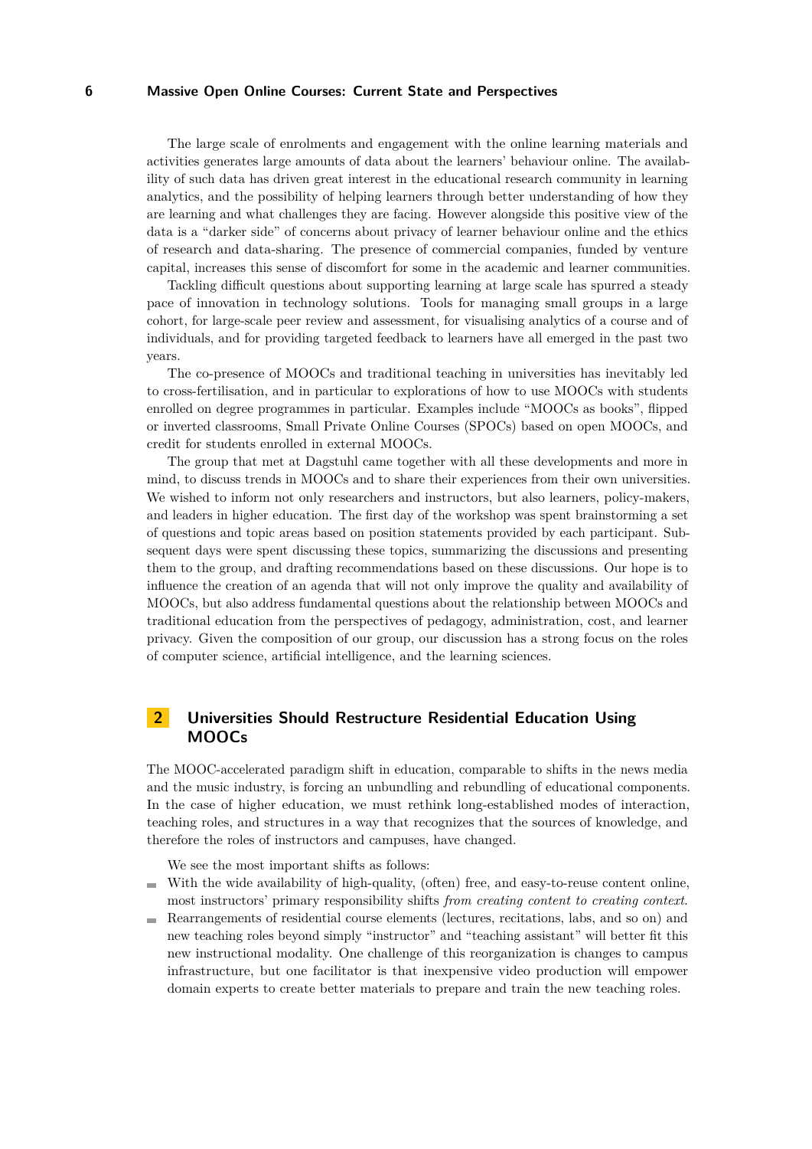The large scale of enrolments and engagement with the online learning materials and activities generates large amounts of data about the learners' behaviour online. The availability of such data has driven great interest in the educational research community in learning analytics, and the possibility of helping learners through better understanding of how they are learning and what challenges they are facing. However alongside this positive view of the data is a "darker side" of concerns about privacy of learner behaviour online and the ethics of research and data-sharing. The presence of commercial companies, funded by venture capital, increases this sense of discomfort for some in the academic and learner communities.

Tackling difficult questions about supporting learning at large scale has spurred a steady pace of innovation in technology solutions. Tools for managing small groups in a large cohort, for large-scale peer review and assessment, for visualising analytics of a course and of individuals, and for providing targeted feedback to learners have all emerged in the past two years.

The co-presence of MOOCs and traditional teaching in universities has inevitably led to cross-fertilisation, and in particular to explorations of how to use MOOCs with students enrolled on degree programmes in particular. Examples include "MOOCs as books", flipped or inverted classrooms, Small Private Online Courses (SPOCs) based on open MOOCs, and credit for students enrolled in external MOOCs.

The group that met at Dagstuhl came together with all these developments and more in mind, to discuss trends in MOOCs and to share their experiences from their own universities. We wished to inform not only researchers and instructors, but also learners, policy-makers, and leaders in higher education. The first day of the workshop was spent brainstorming a set of questions and topic areas based on position statements provided by each participant. Subsequent days were spent discussing these topics, summarizing the discussions and presenting them to the group, and drafting recommendations based on these discussions. Our hope is to influence the creation of an agenda that will not only improve the quality and availability of MOOCs, but also address fundamental questions about the relationship between MOOCs and traditional education from the perspectives of pedagogy, administration, cost, and learner privacy. Given the composition of our group, our discussion has a strong focus on the roles of computer science, artificial intelligence, and the learning sciences.

# <span id="page-5-0"></span>**2 Universities Should Restructure Residential Education Using MOOCs**

The MOOC-accelerated paradigm shift in education, comparable to shifts in the news media and the music industry, is forcing an unbundling and rebundling of educational components. In the case of higher education, we must rethink long-established modes of interaction, teaching roles, and structures in a way that recognizes that the sources of knowledge, and therefore the roles of instructors and campuses, have changed.

We see the most important shifts as follows:

- With the wide availability of high-quality, (often) free, and easy-to-reuse content online, most instructors' primary responsibility shifts *from creating content to creating context*.
- Rearrangements of residential course elements (lectures, recitations, labs, and so on) and m. new teaching roles beyond simply "instructor" and "teaching assistant" will better fit this new instructional modality. One challenge of this reorganization is changes to campus infrastructure, but one facilitator is that inexpensive video production will empower domain experts to create better materials to prepare and train the new teaching roles.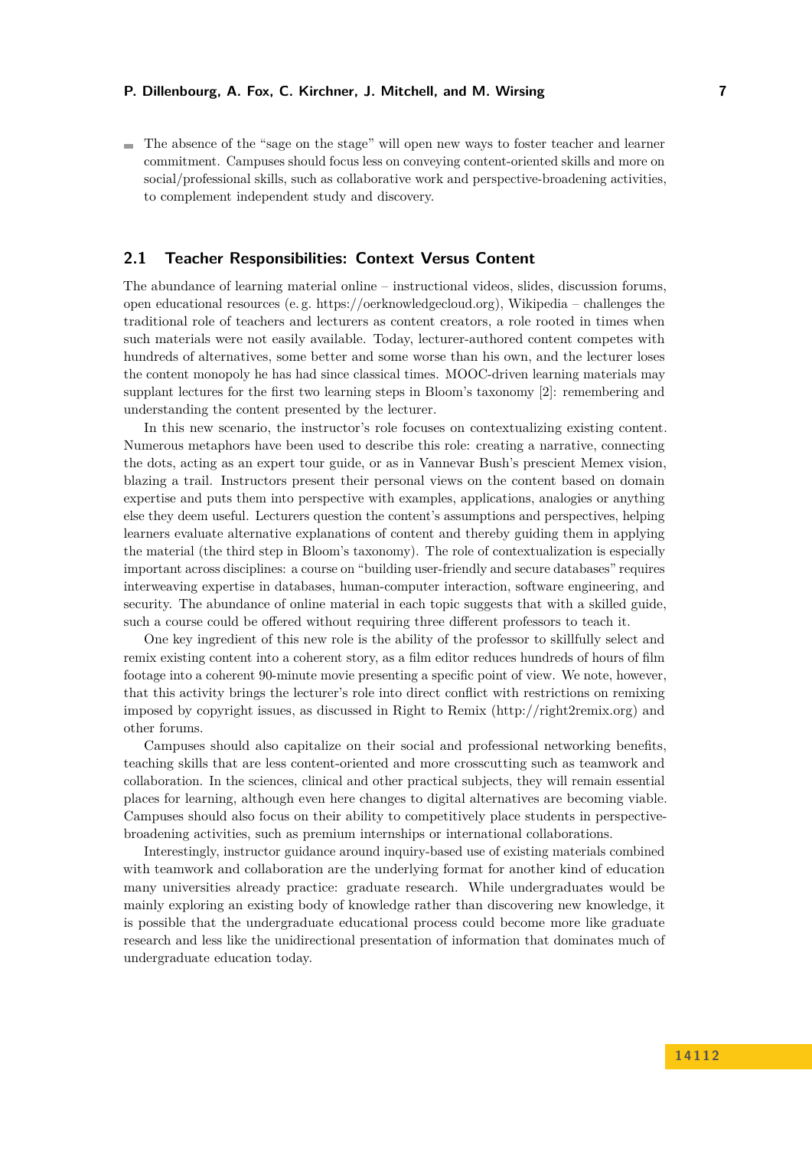The absence of the "sage on the stage" will open new ways to foster teacher and learner commitment. Campuses should focus less on conveying content-oriented skills and more on social/professional skills, such as collaborative work and perspective-broadening activities, to complement independent study and discovery.

## <span id="page-6-0"></span>**2.1 Teacher Responsibilities: Context Versus Content**

The abundance of learning material online – instructional videos, slides, discussion forums, open educational resources (e. g. [https://oerknowledgecloud.org\)](https://oerknowledgecloud.org), Wikipedia – challenges the traditional role of teachers and lecturers as content creators, a role rooted in times when such materials were not easily available. Today, lecturer-authored content competes with hundreds of alternatives, some better and some worse than his own, and the lecturer loses the content monopoly he has had since classical times. MOOC-driven learning materials may supplant lectures for the first two learning steps in Bloom's taxonomy [\[2\]](#page-26-9): remembering and understanding the content presented by the lecturer.

In this new scenario, the instructor's role focuses on contextualizing existing content. Numerous metaphors have been used to describe this role: creating a narrative, connecting the dots, acting as an expert tour guide, or as in Vannevar Bush's prescient Memex vision, blazing a trail. Instructors present their personal views on the content based on domain expertise and puts them into perspective with examples, applications, analogies or anything else they deem useful. Lecturers question the content's assumptions and perspectives, helping learners evaluate alternative explanations of content and thereby guiding them in applying the material (the third step in Bloom's taxonomy). The role of contextualization is especially important across disciplines: a course on "building user-friendly and secure databases" requires interweaving expertise in databases, human-computer interaction, software engineering, and security. The abundance of online material in each topic suggests that with a skilled guide, such a course could be offered without requiring three different professors to teach it.

One key ingredient of this new role is the ability of the professor to skillfully select and remix existing content into a coherent story, as a film editor reduces hundreds of hours of film footage into a coherent 90-minute movie presenting a specific point of view. We note, however, that this activity brings the lecturer's role into direct conflict with restrictions on remixing imposed by copyright issues, as discussed in Right to Remix [\(http://right2remix.org\)](http://right2remix.org) and other forums.

Campuses should also capitalize on their social and professional networking benefits, teaching skills that are less content-oriented and more crosscutting such as teamwork and collaboration. In the sciences, clinical and other practical subjects, they will remain essential places for learning, although even here changes to digital alternatives are becoming viable. Campuses should also focus on their ability to competitively place students in perspectivebroadening activities, such as premium internships or international collaborations.

Interestingly, instructor guidance around inquiry-based use of existing materials combined with teamwork and collaboration are the underlying format for another kind of education many universities already practice: graduate research. While undergraduates would be mainly exploring an existing body of knowledge rather than discovering new knowledge, it is possible that the undergraduate educational process could become more like graduate research and less like the unidirectional presentation of information that dominates much of undergraduate education today.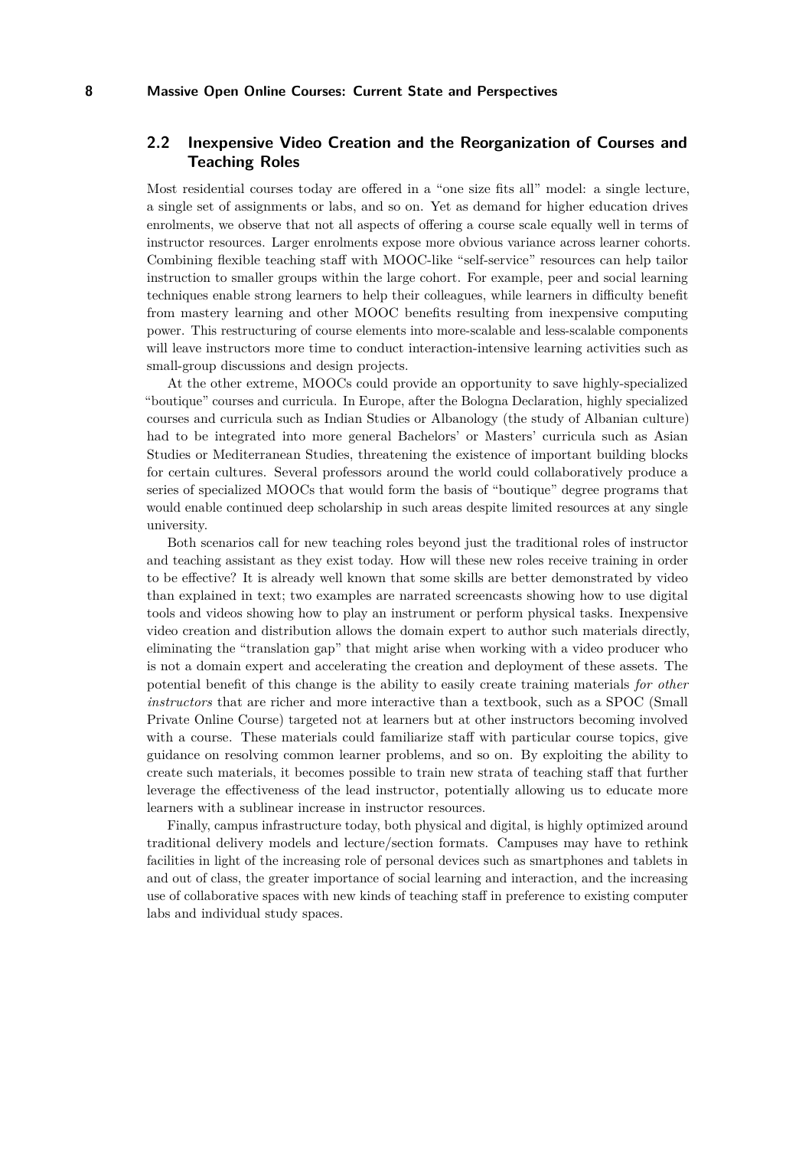# <span id="page-7-0"></span>**2.2 Inexpensive Video Creation and the Reorganization of Courses and Teaching Roles**

Most residential courses today are offered in a "one size fits all" model: a single lecture, a single set of assignments or labs, and so on. Yet as demand for higher education drives enrolments, we observe that not all aspects of offering a course scale equally well in terms of instructor resources. Larger enrolments expose more obvious variance across learner cohorts. Combining flexible teaching staff with MOOC-like "self-service" resources can help tailor instruction to smaller groups within the large cohort. For example, peer and social learning techniques enable strong learners to help their colleagues, while learners in difficulty benefit from mastery learning and other MOOC benefits resulting from inexpensive computing power. This restructuring of course elements into more-scalable and less-scalable components will leave instructors more time to conduct interaction-intensive learning activities such as small-group discussions and design projects.

At the other extreme, MOOCs could provide an opportunity to save highly-specialized "boutique" courses and curricula. In Europe, after the Bologna Declaration, highly specialized courses and curricula such as Indian Studies or Albanology (the study of Albanian culture) had to be integrated into more general Bachelors' or Masters' curricula such as Asian Studies or Mediterranean Studies, threatening the existence of important building blocks for certain cultures. Several professors around the world could collaboratively produce a series of specialized MOOCs that would form the basis of "boutique" degree programs that would enable continued deep scholarship in such areas despite limited resources at any single university.

Both scenarios call for new teaching roles beyond just the traditional roles of instructor and teaching assistant as they exist today. How will these new roles receive training in order to be effective? It is already well known that some skills are better demonstrated by video than explained in text; two examples are narrated screencasts showing how to use digital tools and videos showing how to play an instrument or perform physical tasks. Inexpensive video creation and distribution allows the domain expert to author such materials directly, eliminating the "translation gap" that might arise when working with a video producer who is not a domain expert and accelerating the creation and deployment of these assets. The potential benefit of this change is the ability to easily create training materials *for other instructors* that are richer and more interactive than a textbook, such as a SPOC (Small Private Online Course) targeted not at learners but at other instructors becoming involved with a course. These materials could familiarize staff with particular course topics, give guidance on resolving common learner problems, and so on. By exploiting the ability to create such materials, it becomes possible to train new strata of teaching staff that further leverage the effectiveness of the lead instructor, potentially allowing us to educate more learners with a sublinear increase in instructor resources.

Finally, campus infrastructure today, both physical and digital, is highly optimized around traditional delivery models and lecture/section formats. Campuses may have to rethink facilities in light of the increasing role of personal devices such as smartphones and tablets in and out of class, the greater importance of social learning and interaction, and the increasing use of collaborative spaces with new kinds of teaching staff in preference to existing computer labs and individual study spaces.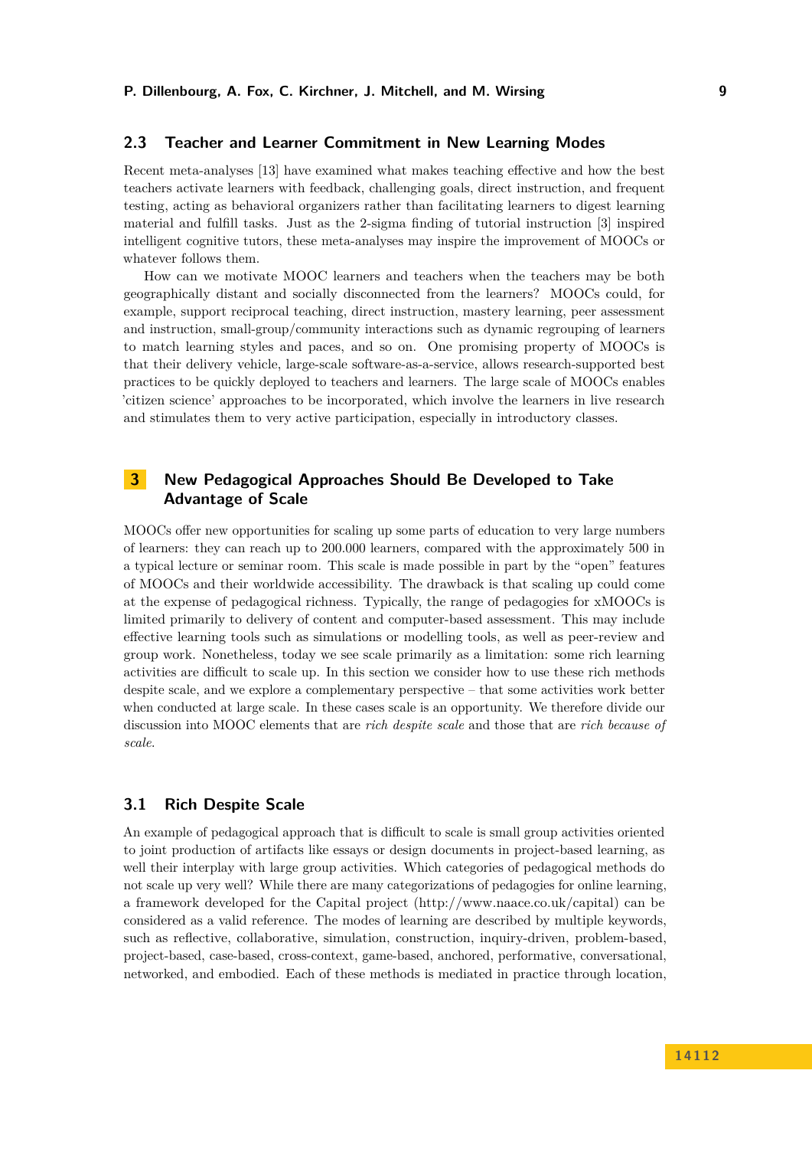## <span id="page-8-0"></span>**2.3 Teacher and Learner Commitment in New Learning Modes**

Recent meta-analyses [\[13\]](#page-26-10) have examined what makes teaching effective and how the best teachers activate learners with feedback, challenging goals, direct instruction, and frequent testing, acting as behavioral organizers rather than facilitating learners to digest learning material and fulfill tasks. Just as the 2-sigma finding of tutorial instruction [\[3\]](#page-26-11) inspired intelligent cognitive tutors, these meta-analyses may inspire the improvement of MOOCs or whatever follows them.

How can we motivate MOOC learners and teachers when the teachers may be both geographically distant and socially disconnected from the learners? MOOCs could, for example, support reciprocal teaching, direct instruction, mastery learning, peer assessment and instruction, small-group/community interactions such as dynamic regrouping of learners to match learning styles and paces, and so on. One promising property of MOOCs is that their delivery vehicle, large-scale software-as-a-service, allows research-supported best practices to be quickly deployed to teachers and learners. The large scale of MOOCs enables 'citizen science' approaches to be incorporated, which involve the learners in live research and stimulates them to very active participation, especially in introductory classes.

# <span id="page-8-1"></span>**3 New Pedagogical Approaches Should Be Developed to Take Advantage of Scale**

MOOCs offer new opportunities for scaling up some parts of education to very large numbers of learners: they can reach up to 200.000 learners, compared with the approximately 500 in a typical lecture or seminar room. This scale is made possible in part by the "open" features of MOOCs and their worldwide accessibility. The drawback is that scaling up could come at the expense of pedagogical richness. Typically, the range of pedagogies for xMOOCs is limited primarily to delivery of content and computer-based assessment. This may include effective learning tools such as simulations or modelling tools, as well as peer-review and group work. Nonetheless, today we see scale primarily as a limitation: some rich learning activities are difficult to scale up. In this section we consider how to use these rich methods despite scale, and we explore a complementary perspective – that some activities work better when conducted at large scale. In these cases scale is an opportunity. We therefore divide our discussion into MOOC elements that are *rich despite scale* and those that are *rich because of scale*.

## <span id="page-8-2"></span>**3.1 Rich Despite Scale**

An example of pedagogical approach that is difficult to scale is small group activities oriented to joint production of artifacts like essays or design documents in project-based learning, as well their interplay with large group activities. Which categories of pedagogical methods do not scale up very well? While there are many categorizations of pedagogies for online learning, a framework developed for the Capital project [\(http://www.naace.co.uk/capital\)](http://www.naace.co.uk/capital) can be considered as a valid reference. The modes of learning are described by multiple keywords, such as reflective, collaborative, simulation, construction, inquiry-driven, problem-based, project-based, case-based, cross-context, game-based, anchored, performative, conversational, networked, and embodied. Each of these methods is mediated in practice through location,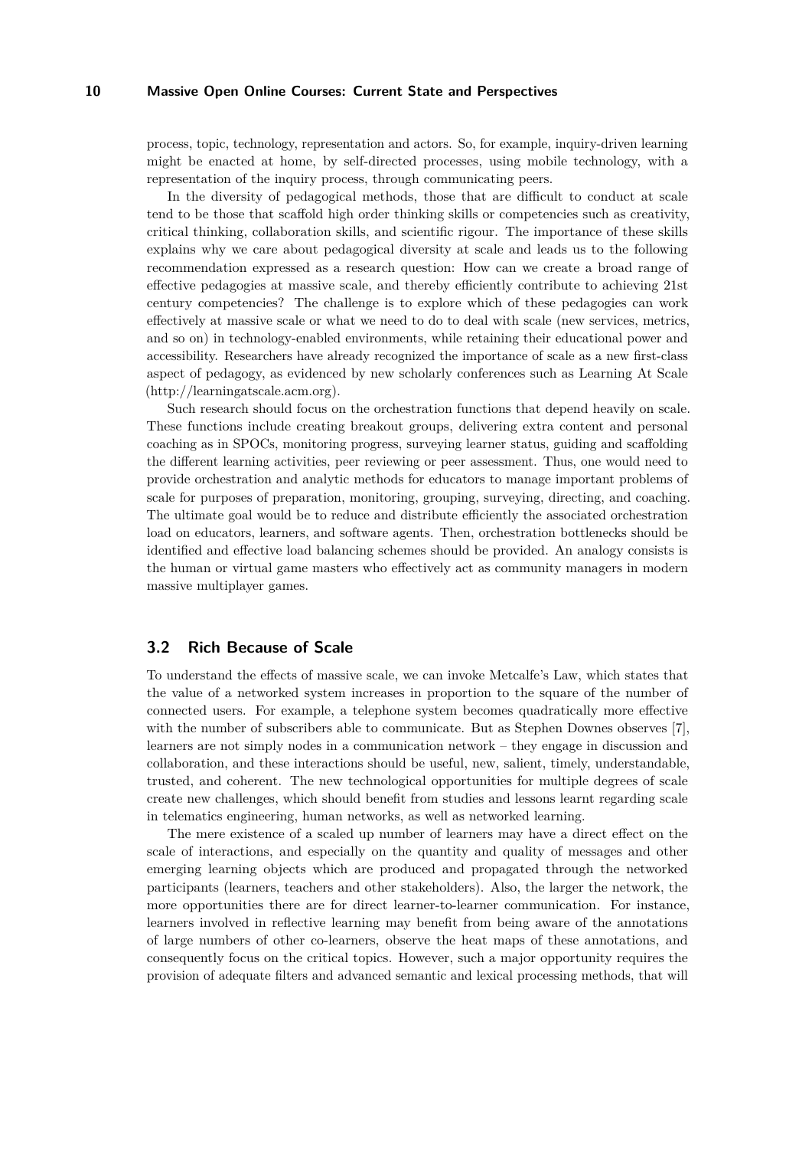process, topic, technology, representation and actors. So, for example, inquiry-driven learning might be enacted at home, by self-directed processes, using mobile technology, with a representation of the inquiry process, through communicating peers.

In the diversity of pedagogical methods, those that are difficult to conduct at scale tend to be those that scaffold high order thinking skills or competencies such as creativity, critical thinking, collaboration skills, and scientific rigour. The importance of these skills explains why we care about pedagogical diversity at scale and leads us to the following recommendation expressed as a research question: How can we create a broad range of effective pedagogies at massive scale, and thereby efficiently contribute to achieving 21st century competencies? The challenge is to explore which of these pedagogies can work effectively at massive scale or what we need to do to deal with scale (new services, metrics, and so on) in technology-enabled environments, while retaining their educational power and accessibility. Researchers have already recognized the importance of scale as a new first-class aspect of pedagogy, as evidenced by new scholarly conferences such as Learning At Scale [\(http://learningatscale.acm.org\)](http://learningatscale.acm.org).

Such research should focus on the orchestration functions that depend heavily on scale. These functions include creating breakout groups, delivering extra content and personal coaching as in SPOCs, monitoring progress, surveying learner status, guiding and scaffolding the different learning activities, peer reviewing or peer assessment. Thus, one would need to provide orchestration and analytic methods for educators to manage important problems of scale for purposes of preparation, monitoring, grouping, surveying, directing, and coaching. The ultimate goal would be to reduce and distribute efficiently the associated orchestration load on educators, learners, and software agents. Then, orchestration bottlenecks should be identified and effective load balancing schemes should be provided. An analogy consists is the human or virtual game masters who effectively act as community managers in modern massive multiplayer games.

#### <span id="page-9-0"></span>**3.2 Rich Because of Scale**

To understand the effects of massive scale, we can invoke Metcalfe's Law, which states that the value of a networked system increases in proportion to the square of the number of connected users. For example, a telephone system becomes quadratically more effective with the number of subscribers able to communicate. But as Stephen Downes observes [\[7\]](#page-26-12), learners are not simply nodes in a communication network – they engage in discussion and collaboration, and these interactions should be useful, new, salient, timely, understandable, trusted, and coherent. The new technological opportunities for multiple degrees of scale create new challenges, which should benefit from studies and lessons learnt regarding scale in telematics engineering, human networks, as well as networked learning.

The mere existence of a scaled up number of learners may have a direct effect on the scale of interactions, and especially on the quantity and quality of messages and other emerging learning objects which are produced and propagated through the networked participants (learners, teachers and other stakeholders). Also, the larger the network, the more opportunities there are for direct learner-to-learner communication. For instance, learners involved in reflective learning may benefit from being aware of the annotations of large numbers of other co-learners, observe the heat maps of these annotations, and consequently focus on the critical topics. However, such a major opportunity requires the provision of adequate filters and advanced semantic and lexical processing methods, that will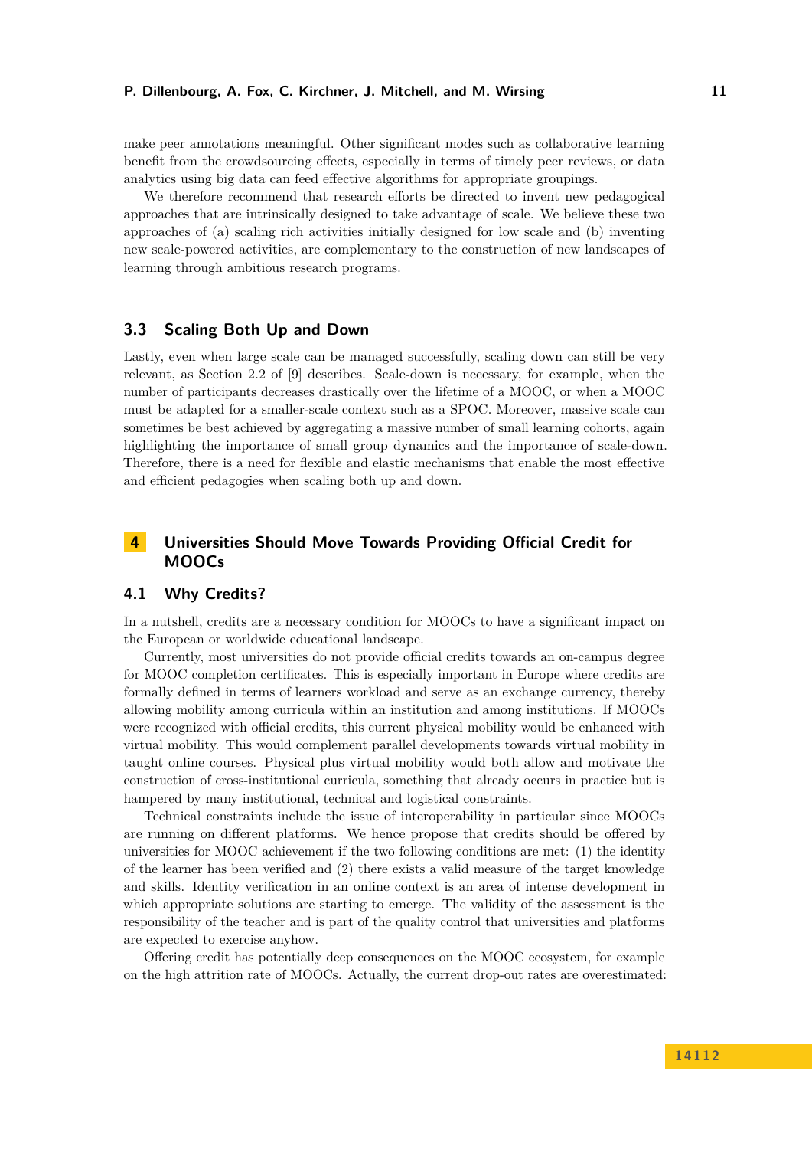make peer annotations meaningful. Other significant modes such as collaborative learning benefit from the crowdsourcing effects, especially in terms of timely peer reviews, or data analytics using big data can feed effective algorithms for appropriate groupings.

We therefore recommend that research efforts be directed to invent new pedagogical approaches that are intrinsically designed to take advantage of scale. We believe these two approaches of (a) scaling rich activities initially designed for low scale and (b) inventing new scale-powered activities, are complementary to the construction of new landscapes of learning through ambitious research programs.

#### <span id="page-10-0"></span>**3.3 Scaling Both Up and Down**

Lastly, even when large scale can be managed successfully, scaling down can still be very relevant, as Section 2.2 of [\[9\]](#page-26-6) describes. Scale-down is necessary, for example, when the number of participants decreases drastically over the lifetime of a MOOC, or when a MOOC must be adapted for a smaller-scale context such as a SPOC. Moreover, massive scale can sometimes be best achieved by aggregating a massive number of small learning cohorts, again highlighting the importance of small group dynamics and the importance of scale-down. Therefore, there is a need for flexible and elastic mechanisms that enable the most effective and efficient pedagogies when scaling both up and down.

# <span id="page-10-1"></span>**4 Universities Should Move Towards Providing Official Credit for MOOCs**

## <span id="page-10-2"></span>**4.1 Why Credits?**

In a nutshell, credits are a necessary condition for MOOCs to have a significant impact on the European or worldwide educational landscape.

Currently, most universities do not provide official credits towards an on-campus degree for MOOC completion certificates. This is especially important in Europe where credits are formally defined in terms of learners workload and serve as an exchange currency, thereby allowing mobility among curricula within an institution and among institutions. If MOOCs were recognized with official credits, this current physical mobility would be enhanced with virtual mobility. This would complement parallel developments towards virtual mobility in taught online courses. Physical plus virtual mobility would both allow and motivate the construction of cross-institutional curricula, something that already occurs in practice but is hampered by many institutional, technical and logistical constraints.

Technical constraints include the issue of interoperability in particular since MOOCs are running on different platforms. We hence propose that credits should be offered by universities for MOOC achievement if the two following conditions are met: (1) the identity of the learner has been verified and (2) there exists a valid measure of the target knowledge and skills. Identity verification in an online context is an area of intense development in which appropriate solutions are starting to emerge. The validity of the assessment is the responsibility of the teacher and is part of the quality control that universities and platforms are expected to exercise anyhow.

Offering credit has potentially deep consequences on the MOOC ecosystem, for example on the high attrition rate of MOOCs. Actually, the current drop-out rates are overestimated: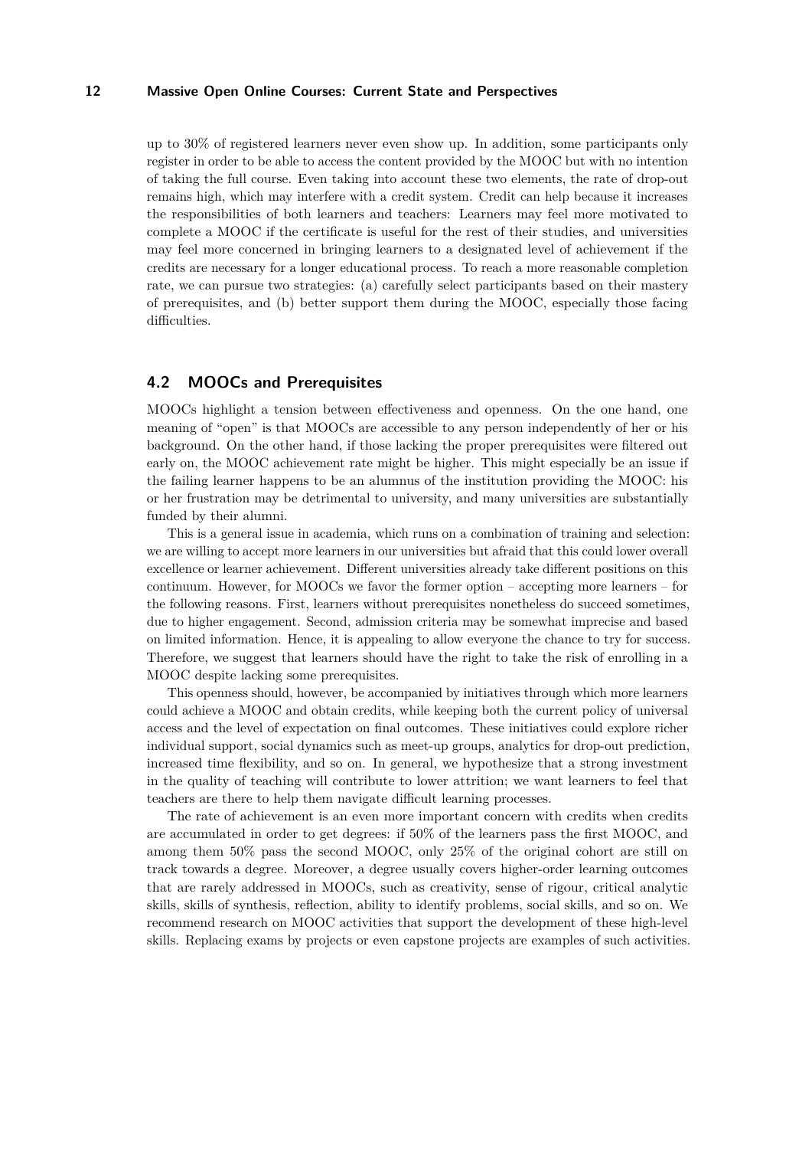up to 30% of registered learners never even show up. In addition, some participants only register in order to be able to access the content provided by the MOOC but with no intention of taking the full course. Even taking into account these two elements, the rate of drop-out remains high, which may interfere with a credit system. Credit can help because it increases the responsibilities of both learners and teachers: Learners may feel more motivated to complete a MOOC if the certificate is useful for the rest of their studies, and universities may feel more concerned in bringing learners to a designated level of achievement if the credits are necessary for a longer educational process. To reach a more reasonable completion rate, we can pursue two strategies: (a) carefully select participants based on their mastery of prerequisites, and (b) better support them during the MOOC, especially those facing difficulties.

## <span id="page-11-0"></span>**4.2 MOOCs and Prerequisites**

MOOCs highlight a tension between effectiveness and openness. On the one hand, one meaning of "open" is that MOOCs are accessible to any person independently of her or his background. On the other hand, if those lacking the proper prerequisites were filtered out early on, the MOOC achievement rate might be higher. This might especially be an issue if the failing learner happens to be an alumnus of the institution providing the MOOC: his or her frustration may be detrimental to university, and many universities are substantially funded by their alumni.

This is a general issue in academia, which runs on a combination of training and selection: we are willing to accept more learners in our universities but afraid that this could lower overall excellence or learner achievement. Different universities already take different positions on this continuum. However, for MOOCs we favor the former option – accepting more learners – for the following reasons. First, learners without prerequisites nonetheless do succeed sometimes, due to higher engagement. Second, admission criteria may be somewhat imprecise and based on limited information. Hence, it is appealing to allow everyone the chance to try for success. Therefore, we suggest that learners should have the right to take the risk of enrolling in a MOOC despite lacking some prerequisites.

This openness should, however, be accompanied by initiatives through which more learners could achieve a MOOC and obtain credits, while keeping both the current policy of universal access and the level of expectation on final outcomes. These initiatives could explore richer individual support, social dynamics such as meet-up groups, analytics for drop-out prediction, increased time flexibility, and so on. In general, we hypothesize that a strong investment in the quality of teaching will contribute to lower attrition; we want learners to feel that teachers are there to help them navigate difficult learning processes.

The rate of achievement is an even more important concern with credits when credits are accumulated in order to get degrees: if 50% of the learners pass the first MOOC, and among them 50% pass the second MOOC, only 25% of the original cohort are still on track towards a degree. Moreover, a degree usually covers higher-order learning outcomes that are rarely addressed in MOOCs, such as creativity, sense of rigour, critical analytic skills, skills of synthesis, reflection, ability to identify problems, social skills, and so on. We recommend research on MOOC activities that support the development of these high-level skills. Replacing exams by projects or even capstone projects are examples of such activities.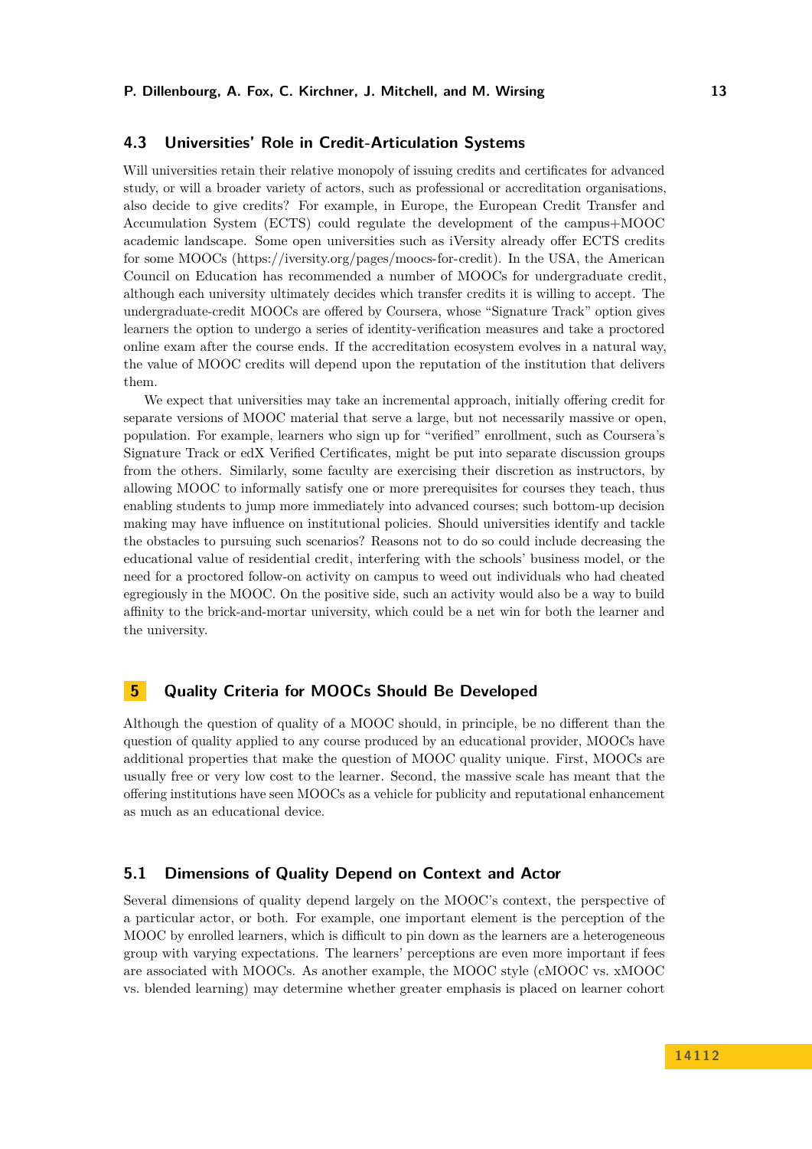## <span id="page-12-0"></span>**4.3 Universities' Role in Credit-Articulation Systems**

Will universities retain their relative monopoly of issuing credits and certificates for advanced study, or will a broader variety of actors, such as professional or accreditation organisations, also decide to give credits? For example, in Europe, the European Credit Transfer and Accumulation System (ECTS) could regulate the development of the campus+MOOC academic landscape. Some open universities such as iVersity already offer ECTS credits for some MOOCs [\(https://iversity.org/pages/moocs-for-credit\)](https://iversity.org/pages/moocs-for-credit ). In the USA, the American Council on Education has recommended a number of MOOCs for undergraduate credit, although each university ultimately decides which transfer credits it is willing to accept. The undergraduate-credit MOOCs are offered by Coursera, whose "Signature Track" option gives learners the option to undergo a series of identity-verification measures and take a proctored online exam after the course ends. If the accreditation ecosystem evolves in a natural way, the value of MOOC credits will depend upon the reputation of the institution that delivers them.

We expect that universities may take an incremental approach, initially offering credit for separate versions of MOOC material that serve a large, but not necessarily massive or open, population. For example, learners who sign up for "verified" enrollment, such as Coursera's Signature Track or edX Verified Certificates, might be put into separate discussion groups from the others. Similarly, some faculty are exercising their discretion as instructors, by allowing MOOC to informally satisfy one or more prerequisites for courses they teach, thus enabling students to jump more immediately into advanced courses; such bottom-up decision making may have influence on institutional policies. Should universities identify and tackle the obstacles to pursuing such scenarios? Reasons not to do so could include decreasing the educational value of residential credit, interfering with the schools' business model, or the need for a proctored follow-on activity on campus to weed out individuals who had cheated egregiously in the MOOC. On the positive side, such an activity would also be a way to build affinity to the brick-and-mortar university, which could be a net win for both the learner and the university.

# <span id="page-12-1"></span>**5 Quality Criteria for MOOCs Should Be Developed**

Although the question of quality of a MOOC should, in principle, be no different than the question of quality applied to any course produced by an educational provider, MOOCs have additional properties that make the question of MOOC quality unique. First, MOOCs are usually free or very low cost to the learner. Second, the massive scale has meant that the offering institutions have seen MOOCs as a vehicle for publicity and reputational enhancement as much as an educational device.

# <span id="page-12-2"></span>**5.1 Dimensions of Quality Depend on Context and Actor**

Several dimensions of quality depend largely on the MOOC's context, the perspective of a particular actor, or both. For example, one important element is the perception of the MOOC by enrolled learners, which is difficult to pin down as the learners are a heterogeneous group with varying expectations. The learners' perceptions are even more important if fees are associated with MOOCs. As another example, the MOOC style (cMOOC vs. xMOOC vs. blended learning) may determine whether greater emphasis is placed on learner cohort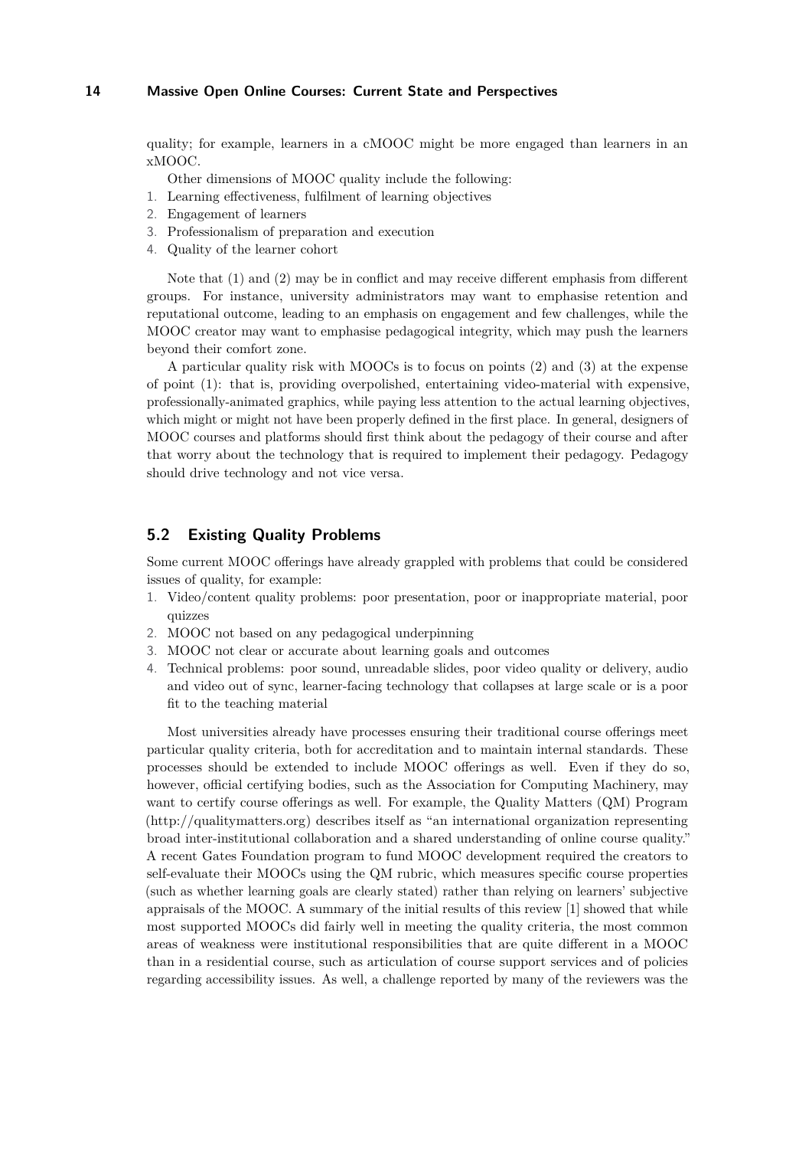quality; for example, learners in a cMOOC might be more engaged than learners in an xMOOC.

Other dimensions of MOOC quality include the following:

- 1. Learning effectiveness, fulfilment of learning objectives
- 2. Engagement of learners
- 3. Professionalism of preparation and execution
- 4. Quality of the learner cohort

Note that (1) and (2) may be in conflict and may receive different emphasis from different groups. For instance, university administrators may want to emphasise retention and reputational outcome, leading to an emphasis on engagement and few challenges, while the MOOC creator may want to emphasise pedagogical integrity, which may push the learners beyond their comfort zone.

A particular quality risk with MOOCs is to focus on points (2) and (3) at the expense of point (1): that is, providing overpolished, entertaining video-material with expensive, professionally-animated graphics, while paying less attention to the actual learning objectives, which might or might not have been properly defined in the first place. In general, designers of MOOC courses and platforms should first think about the pedagogy of their course and after that worry about the technology that is required to implement their pedagogy. Pedagogy should drive technology and not vice versa.

## <span id="page-13-0"></span>**5.2 Existing Quality Problems**

Some current MOOC offerings have already grappled with problems that could be considered issues of quality, for example:

- 1. Video/content quality problems: poor presentation, poor or inappropriate material, poor quizzes
- 2. MOOC not based on any pedagogical underpinning
- 3. MOOC not clear or accurate about learning goals and outcomes
- 4. Technical problems: poor sound, unreadable slides, poor video quality or delivery, audio and video out of sync, learner-facing technology that collapses at large scale or is a poor fit to the teaching material

Most universities already have processes ensuring their traditional course offerings meet particular quality criteria, both for accreditation and to maintain internal standards. These processes should be extended to include MOOC offerings as well. Even if they do so, however, official certifying bodies, such as the Association for Computing Machinery, may want to certify course offerings as well. For example, the Quality Matters (QM) Program [\(http://qualitymatters.org\)](http://qualitymatters.org) describes itself as "an international organization representing broad inter-institutional collaboration and a shared understanding of online course quality." A recent Gates Foundation program to fund MOOC development required the creators to self-evaluate their MOOCs using the QM rubric, which measures specific course properties (such as whether learning goals are clearly stated) rather than relying on learners' subjective appraisals of the MOOC. A summary of the initial results of this review [\[1\]](#page-26-13) showed that while most supported MOOCs did fairly well in meeting the quality criteria, the most common areas of weakness were institutional responsibilities that are quite different in a MOOC than in a residential course, such as articulation of course support services and of policies regarding accessibility issues. As well, a challenge reported by many of the reviewers was the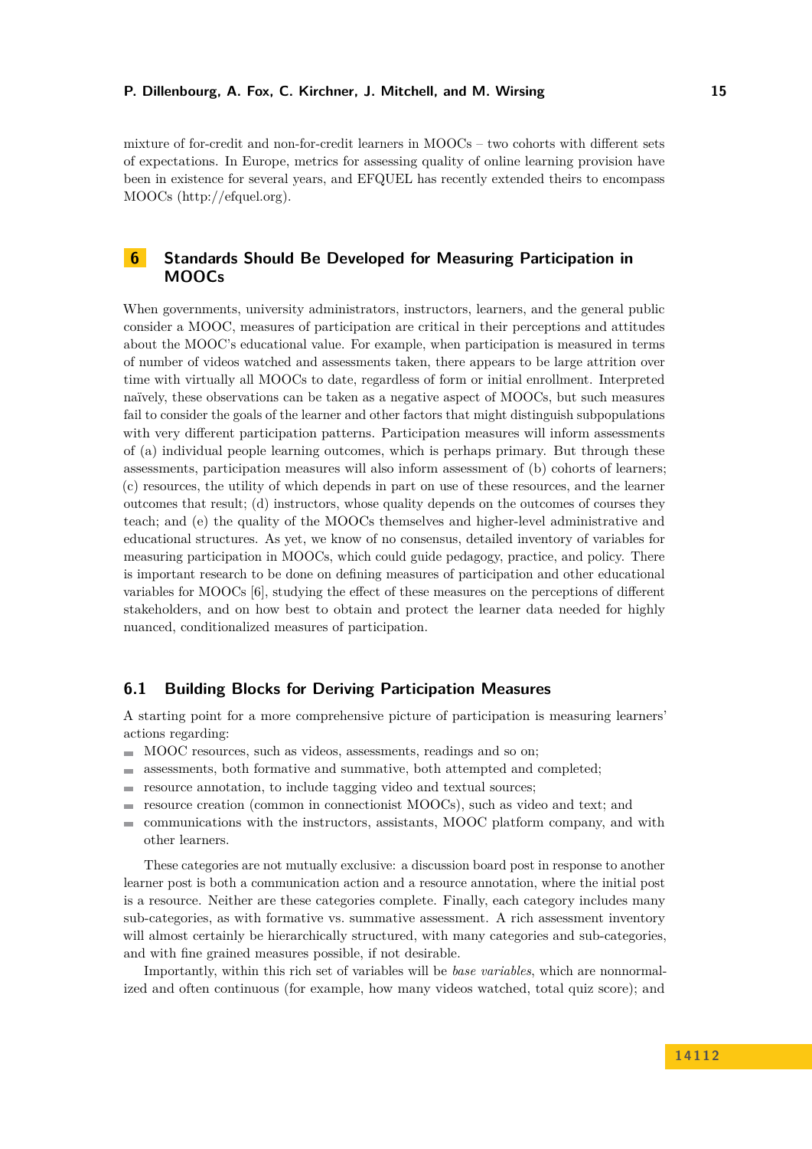mixture of for-credit and non-for-credit learners in MOOCs – two cohorts with different sets of expectations. In Europe, metrics for assessing quality of online learning provision have been in existence for several years, and EFQUEL has recently extended theirs to encompass MOOCs [\(http://efquel.org\)](http://efquel.org).

# <span id="page-14-0"></span>**6 Standards Should Be Developed for Measuring Participation in MOOCs**

When governments, university administrators, instructors, learners, and the general public consider a MOOC, measures of participation are critical in their perceptions and attitudes about the MOOC's educational value. For example, when participation is measured in terms of number of videos watched and assessments taken, there appears to be large attrition over time with virtually all MOOCs to date, regardless of form or initial enrollment. Interpreted naïvely, these observations can be taken as a negative aspect of MOOCs, but such measures fail to consider the goals of the learner and other factors that might distinguish subpopulations with very different participation patterns. Participation measures will inform assessments of (a) individual people learning outcomes, which is perhaps primary. But through these assessments, participation measures will also inform assessment of (b) cohorts of learners; (c) resources, the utility of which depends in part on use of these resources, and the learner outcomes that result; (d) instructors, whose quality depends on the outcomes of courses they teach; and (e) the quality of the MOOCs themselves and higher-level administrative and educational structures. As yet, we know of no consensus, detailed inventory of variables for measuring participation in MOOCs, which could guide pedagogy, practice, and policy. There is important research to be done on defining measures of participation and other educational variables for MOOCs [\[6\]](#page-26-8), studying the effect of these measures on the perceptions of different stakeholders, and on how best to obtain and protect the learner data needed for highly nuanced, conditionalized measures of participation.

## <span id="page-14-1"></span>**6.1 Building Blocks for Deriving Participation Measures**

A starting point for a more comprehensive picture of participation is measuring learners' actions regarding:

- MOOC resources, such as videos, assessments, readings and so on;
- assessments, both formative and summative, both attempted and completed;  $\blacksquare$
- resource annotation, to include tagging video and textual sources;  $\overline{a}$
- resource creation (common in connectionist MOOCs), such as video and text; and  $\equiv$
- $\overline{a}$ communications with the instructors, assistants, MOOC platform company, and with other learners.

These categories are not mutually exclusive: a discussion board post in response to another learner post is both a communication action and a resource annotation, where the initial post is a resource. Neither are these categories complete. Finally, each category includes many sub-categories, as with formative vs. summative assessment. A rich assessment inventory will almost certainly be hierarchically structured, with many categories and sub-categories, and with fine grained measures possible, if not desirable.

Importantly, within this rich set of variables will be *base variables*, which are nonnormalized and often continuous (for example, how many videos watched, total quiz score); and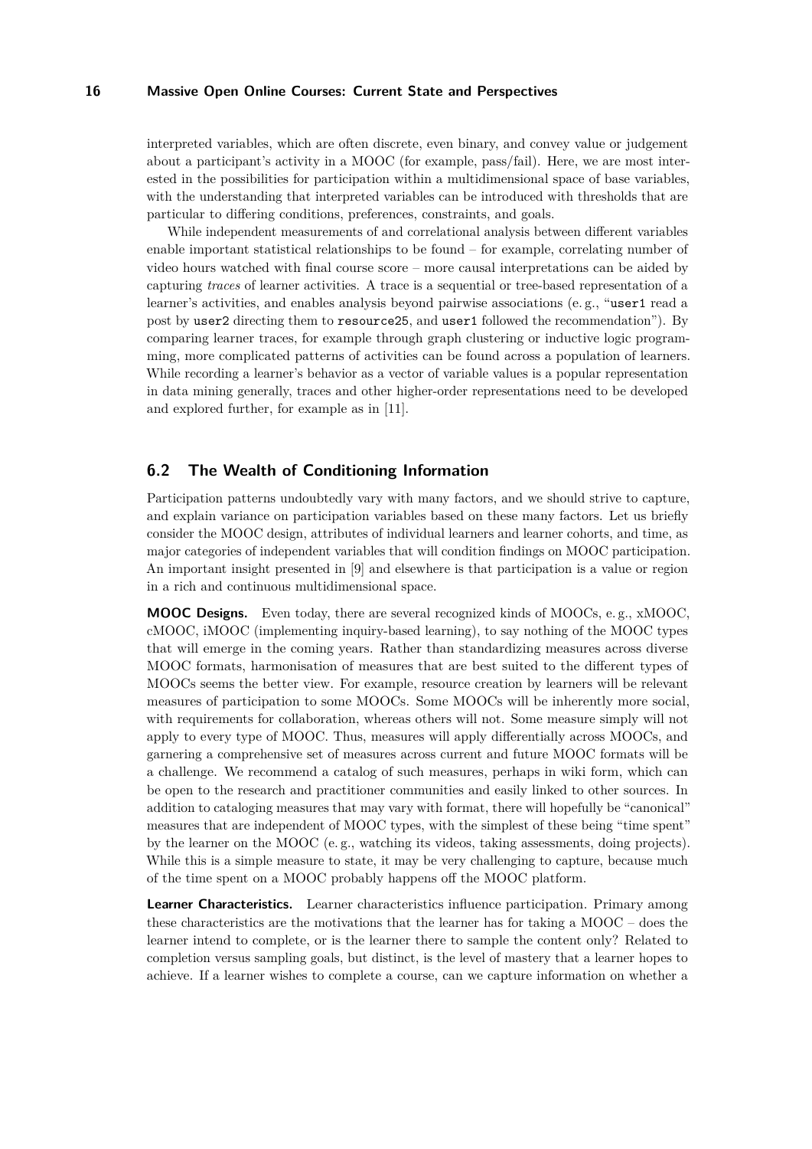interpreted variables, which are often discrete, even binary, and convey value or judgement about a participant's activity in a MOOC (for example, pass/fail). Here, we are most interested in the possibilities for participation within a multidimensional space of base variables, with the understanding that interpreted variables can be introduced with thresholds that are particular to differing conditions, preferences, constraints, and goals.

While independent measurements of and correlational analysis between different variables enable important statistical relationships to be found – for example, correlating number of video hours watched with final course score – more causal interpretations can be aided by capturing *traces* of learner activities. A trace is a sequential or tree-based representation of a learner's activities, and enables analysis beyond pairwise associations (e. g., "user1 read a post by user2 directing them to resource25, and user1 followed the recommendation"). By comparing learner traces, for example through graph clustering or inductive logic programming, more complicated patterns of activities can be found across a population of learners. While recording a learner's behavior as a vector of variable values is a popular representation in data mining generally, traces and other higher-order representations need to be developed and explored further, for example as in [\[11\]](#page-26-14).

# <span id="page-15-0"></span>**6.2 The Wealth of Conditioning Information**

Participation patterns undoubtedly vary with many factors, and we should strive to capture, and explain variance on participation variables based on these many factors. Let us briefly consider the MOOC design, attributes of individual learners and learner cohorts, and time, as major categories of independent variables that will condition findings on MOOC participation. An important insight presented in [\[9\]](#page-26-6) and elsewhere is that participation is a value or region in a rich and continuous multidimensional space.

**MOOC Designs.** Even today, there are several recognized kinds of MOOCs, e. g., xMOOC, cMOOC, iMOOC (implementing inquiry-based learning), to say nothing of the MOOC types that will emerge in the coming years. Rather than standardizing measures across diverse MOOC formats, harmonisation of measures that are best suited to the different types of MOOCs seems the better view. For example, resource creation by learners will be relevant measures of participation to some MOOCs. Some MOOCs will be inherently more social, with requirements for collaboration, whereas others will not. Some measure simply will not apply to every type of MOOC. Thus, measures will apply differentially across MOOCs, and garnering a comprehensive set of measures across current and future MOOC formats will be a challenge. We recommend a catalog of such measures, perhaps in wiki form, which can be open to the research and practitioner communities and easily linked to other sources. In addition to cataloging measures that may vary with format, there will hopefully be "canonical" measures that are independent of MOOC types, with the simplest of these being "time spent" by the learner on the MOOC (e. g., watching its videos, taking assessments, doing projects). While this is a simple measure to state, it may be very challenging to capture, because much of the time spent on a MOOC probably happens off the MOOC platform.

**Learner Characteristics.** Learner characteristics influence participation. Primary among these characteristics are the motivations that the learner has for taking a MOOC – does the learner intend to complete, or is the learner there to sample the content only? Related to completion versus sampling goals, but distinct, is the level of mastery that a learner hopes to achieve. If a learner wishes to complete a course, can we capture information on whether a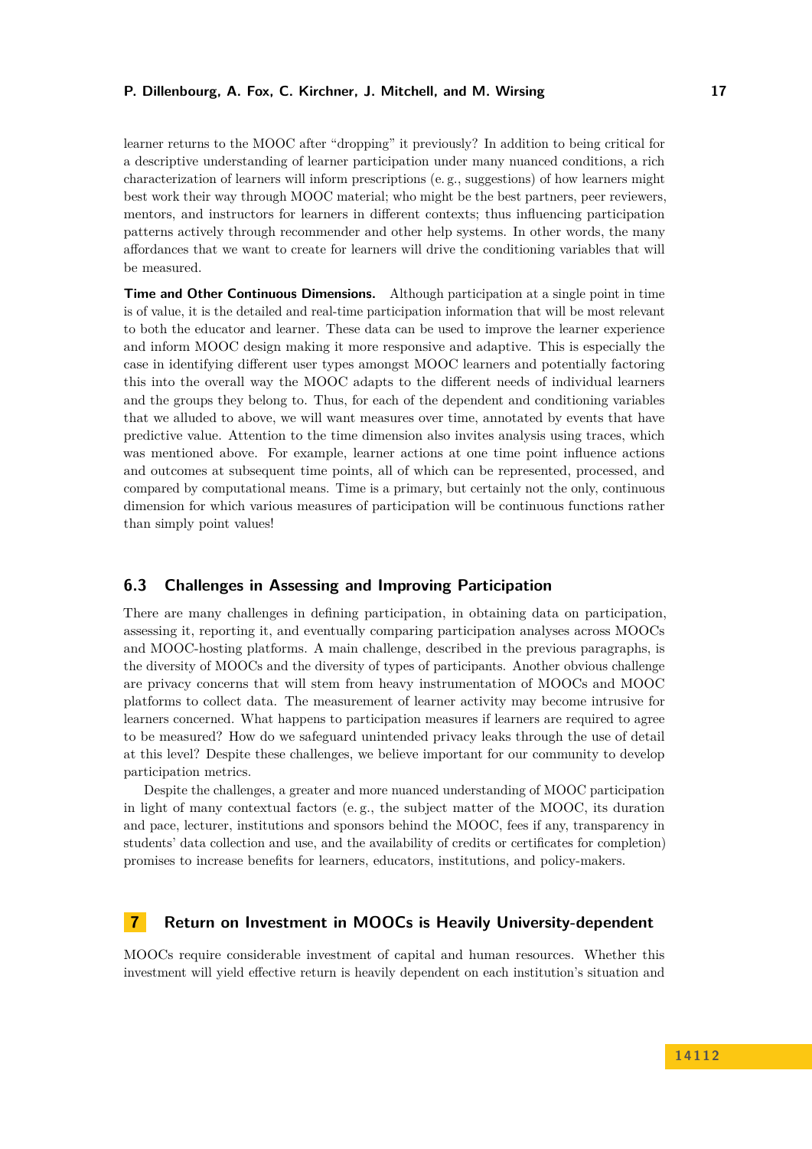learner returns to the MOOC after "dropping" it previously? In addition to being critical for a descriptive understanding of learner participation under many nuanced conditions, a rich characterization of learners will inform prescriptions (e. g., suggestions) of how learners might best work their way through MOOC material; who might be the best partners, peer reviewers, mentors, and instructors for learners in different contexts; thus influencing participation patterns actively through recommender and other help systems. In other words, the many affordances that we want to create for learners will drive the conditioning variables that will be measured.

**Time and Other Continuous Dimensions.** Although participation at a single point in time is of value, it is the detailed and real-time participation information that will be most relevant to both the educator and learner. These data can be used to improve the learner experience and inform MOOC design making it more responsive and adaptive. This is especially the case in identifying different user types amongst MOOC learners and potentially factoring this into the overall way the MOOC adapts to the different needs of individual learners and the groups they belong to. Thus, for each of the dependent and conditioning variables that we alluded to above, we will want measures over time, annotated by events that have predictive value. Attention to the time dimension also invites analysis using traces, which was mentioned above. For example, learner actions at one time point influence actions and outcomes at subsequent time points, all of which can be represented, processed, and compared by computational means. Time is a primary, but certainly not the only, continuous dimension for which various measures of participation will be continuous functions rather than simply point values!

## <span id="page-16-0"></span>**6.3 Challenges in Assessing and Improving Participation**

There are many challenges in defining participation, in obtaining data on participation, assessing it, reporting it, and eventually comparing participation analyses across MOOCs and MOOC-hosting platforms. A main challenge, described in the previous paragraphs, is the diversity of MOOCs and the diversity of types of participants. Another obvious challenge are privacy concerns that will stem from heavy instrumentation of MOOCs and MOOC platforms to collect data. The measurement of learner activity may become intrusive for learners concerned. What happens to participation measures if learners are required to agree to be measured? How do we safeguard unintended privacy leaks through the use of detail at this level? Despite these challenges, we believe important for our community to develop participation metrics.

Despite the challenges, a greater and more nuanced understanding of MOOC participation in light of many contextual factors (e. g., the subject matter of the MOOC, its duration and pace, lecturer, institutions and sponsors behind the MOOC, fees if any, transparency in students' data collection and use, and the availability of credits or certificates for completion) promises to increase benefits for learners, educators, institutions, and policy-makers.

#### <span id="page-16-1"></span>**7 Return on Investment in MOOCs is Heavily University-dependent**

MOOCs require considerable investment of capital and human resources. Whether this investment will yield effective return is heavily dependent on each institution's situation and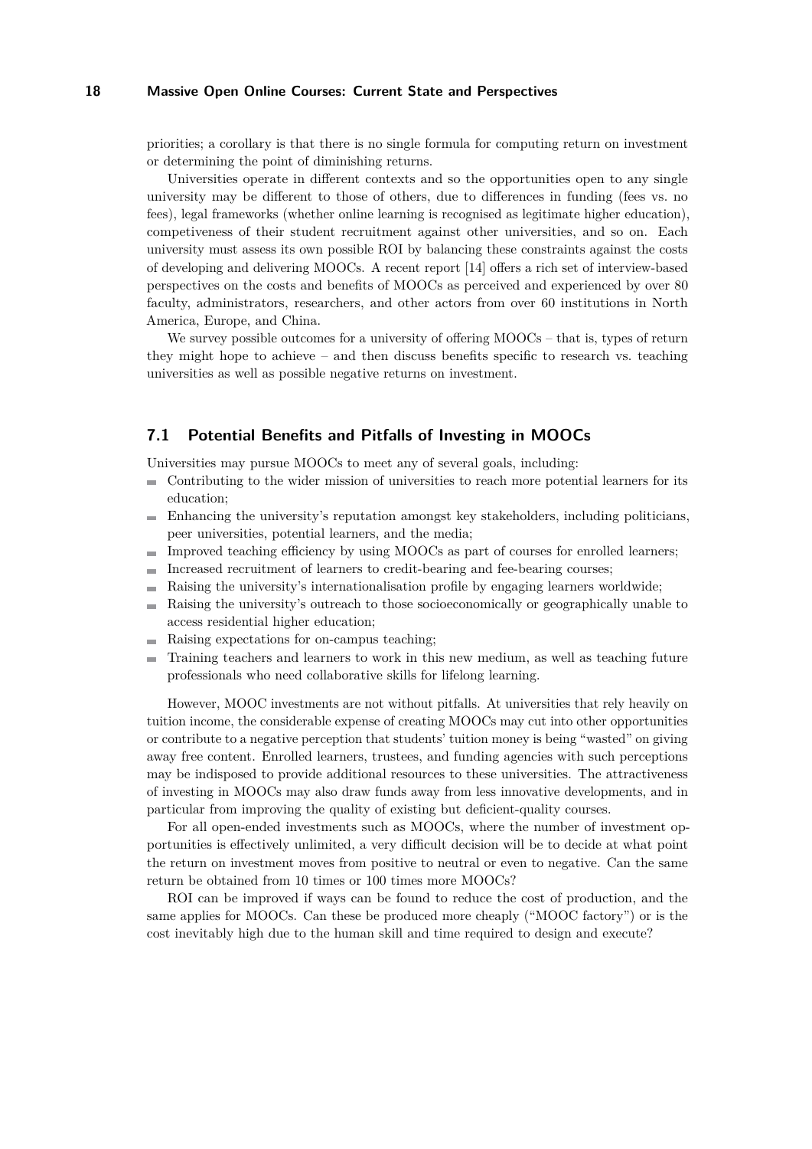priorities; a corollary is that there is no single formula for computing return on investment or determining the point of diminishing returns.

Universities operate in different contexts and so the opportunities open to any single university may be different to those of others, due to differences in funding (fees vs. no fees), legal frameworks (whether online learning is recognised as legitimate higher education), competiveness of their student recruitment against other universities, and so on. Each university must assess its own possible ROI by balancing these constraints against the costs of developing and delivering MOOCs. A recent report [\[14\]](#page-26-7) offers a rich set of interview-based perspectives on the costs and benefits of MOOCs as perceived and experienced by over 80 faculty, administrators, researchers, and other actors from over 60 institutions in North America, Europe, and China.

We survey possible outcomes for a university of offering MOOCs – that is, types of return they might hope to achieve – and then discuss benefits specific to research vs. teaching universities as well as possible negative returns on investment.

## <span id="page-17-0"></span>**7.1 Potential Benefits and Pitfalls of Investing in MOOCs**

Universities may pursue MOOCs to meet any of several goals, including:

- Contributing to the wider mission of universities to reach more potential learners for its education;
- Enhancing the university's reputation amongst key stakeholders, including politicians, peer universities, potential learners, and the media;
- Improved teaching efficiency by using MOOCs as part of courses for enrolled learners;  $\sim$
- Increased recruitment of learners to credit-bearing and fee-bearing courses;  $\blacksquare$
- Raising the university's internationalisation profile by engaging learners worldwide;
- Raising the university's outreach to those socioeconomically or geographically unable to ÷. access residential higher education;
- Raising expectations for on-campus teaching;
- Training teachers and learners to work in this new medium, as well as teaching future professionals who need collaborative skills for lifelong learning.

However, MOOC investments are not without pitfalls. At universities that rely heavily on tuition income, the considerable expense of creating MOOCs may cut into other opportunities or contribute to a negative perception that students' tuition money is being "wasted" on giving away free content. Enrolled learners, trustees, and funding agencies with such perceptions may be indisposed to provide additional resources to these universities. The attractiveness of investing in MOOCs may also draw funds away from less innovative developments, and in particular from improving the quality of existing but deficient-quality courses.

For all open-ended investments such as MOOCs, where the number of investment opportunities is effectively unlimited, a very difficult decision will be to decide at what point the return on investment moves from positive to neutral or even to negative. Can the same return be obtained from 10 times or 100 times more MOOCs?

ROI can be improved if ways can be found to reduce the cost of production, and the same applies for MOOCs. Can these be produced more cheaply ("MOOC factory") or is the cost inevitably high due to the human skill and time required to design and execute?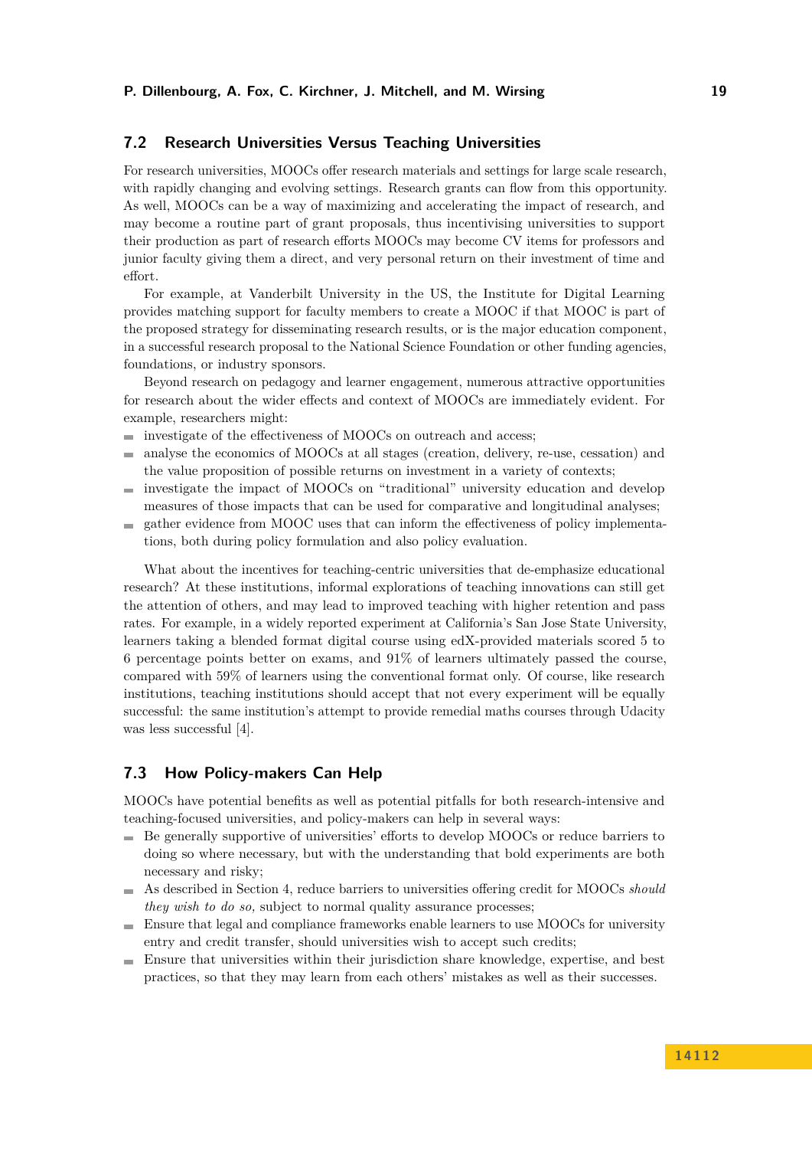## <span id="page-18-0"></span>**7.2 Research Universities Versus Teaching Universities**

For research universities, MOOCs offer research materials and settings for large scale research, with rapidly changing and evolving settings. Research grants can flow from this opportunity. As well, MOOCs can be a way of maximizing and accelerating the impact of research, and may become a routine part of grant proposals, thus incentivising universities to support their production as part of research efforts MOOCs may become CV items for professors and junior faculty giving them a direct, and very personal return on their investment of time and effort.

For example, at Vanderbilt University in the US, the Institute for Digital Learning provides matching support for faculty members to create a MOOC if that MOOC is part of the proposed strategy for disseminating research results, or is the major education component, in a successful research proposal to the National Science Foundation or other funding agencies, foundations, or industry sponsors.

Beyond research on pedagogy and learner engagement, numerous attractive opportunities for research about the wider effects and context of MOOCs are immediately evident. For example, researchers might:

- investigate of the effectiveness of MOOCs on outreach and access;  $\mathcal{L}$
- analyse the economics of MOOCs at all stages (creation, delivery, re-use, cessation) and  $\sim$ the value proposition of possible returns on investment in a variety of contexts;
- investigate the impact of MOOCs on "traditional" university education and develop  $\mathbf{r}$ measures of those impacts that can be used for comparative and longitudinal analyses;
- gather evidence from MOOC uses that can inform the effectiveness of policy implementa- $\mathbf{r}$ tions, both during policy formulation and also policy evaluation.

What about the incentives for teaching-centric universities that de-emphasize educational research? At these institutions, informal explorations of teaching innovations can still get the attention of others, and may lead to improved teaching with higher retention and pass rates. For example, in a widely reported experiment at California's San Jose State University, learners taking a blended format digital course using edX-provided materials scored 5 to 6 percentage points better on exams, and 91% of learners ultimately passed the course, compared with 59% of learners using the conventional format only. Of course, like research institutions, teaching institutions should accept that not every experiment will be equally successful: the same institution's attempt to provide remedial maths courses through Udacity was less successful [\[4\]](#page-26-15).

#### <span id="page-18-1"></span>**7.3 How Policy-makers Can Help**

MOOCs have potential benefits as well as potential pitfalls for both research-intensive and teaching-focused universities, and policy-makers can help in several ways:

- Be generally supportive of universities' efforts to develop MOOCs or reduce barriers to doing so where necessary, but with the understanding that bold experiments are both necessary and risky;
- As described in Section [4,](#page-10-1) reduce barriers to universities offering credit for MOOCs *should* m. *they wish to do so,* subject to normal quality assurance processes;
- Ensure that legal and compliance frameworks enable learners to use MOOCs for university entry and credit transfer, should universities wish to accept such credits;
- Ensure that universities within their jurisdiction share knowledge, expertise, and best practices, so that they may learn from each others' mistakes as well as their successes.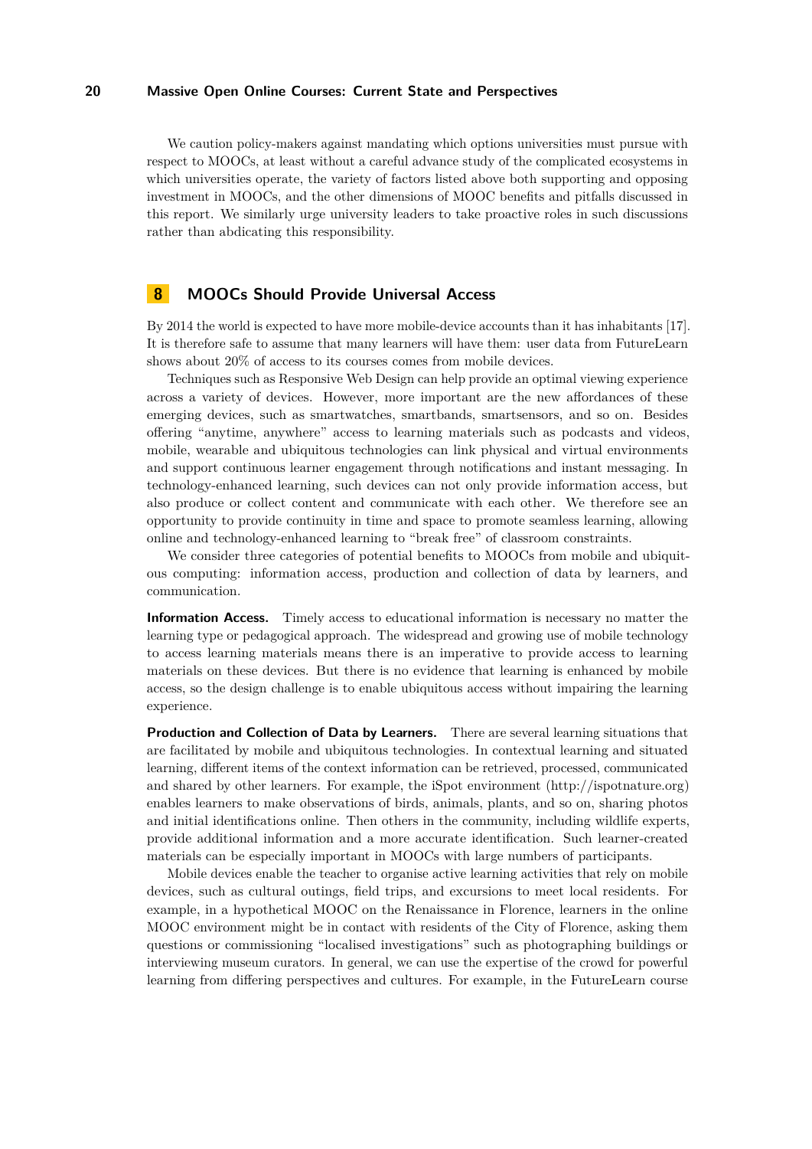We caution policy-makers against mandating which options universities must pursue with respect to MOOCs, at least without a careful advance study of the complicated ecosystems in which universities operate, the variety of factors listed above both supporting and opposing investment in MOOCs, and the other dimensions of MOOC benefits and pitfalls discussed in this report. We similarly urge university leaders to take proactive roles in such discussions rather than abdicating this responsibility.

# <span id="page-19-0"></span>**8 MOOCs Should Provide Universal Access**

By 2014 the world is expected to have more mobile-device accounts than it has inhabitants [\[17\]](#page-26-16). It is therefore safe to assume that many learners will have them: user data from FutureLearn shows about 20% of access to its courses comes from mobile devices.

Techniques such as Responsive Web Design can help provide an optimal viewing experience across a variety of devices. However, more important are the new affordances of these emerging devices, such as smartwatches, smartbands, smartsensors, and so on. Besides offering "anytime, anywhere" access to learning materials such as podcasts and videos, mobile, wearable and ubiquitous technologies can link physical and virtual environments and support continuous learner engagement through notifications and instant messaging. In technology-enhanced learning, such devices can not only provide information access, but also produce or collect content and communicate with each other. We therefore see an opportunity to provide continuity in time and space to promote seamless learning, allowing online and technology-enhanced learning to "break free" of classroom constraints.

We consider three categories of potential benefits to MOOCs from mobile and ubiquitous computing: information access, production and collection of data by learners, and communication.

**Information Access.** Timely access to educational information is necessary no matter the learning type or pedagogical approach. The widespread and growing use of mobile technology to access learning materials means there is an imperative to provide access to learning materials on these devices. But there is no evidence that learning is enhanced by mobile access, so the design challenge is to enable ubiquitous access without impairing the learning experience.

**Production and Collection of Data by Learners.** There are several learning situations that are facilitated by mobile and ubiquitous technologies. In contextual learning and situated learning, different items of the context information can be retrieved, processed, communicated and shared by other learners. For example, the iSpot environment [\(http://ispotnature.org\)](http://ispotnature.org) enables learners to make observations of birds, animals, plants, and so on, sharing photos and initial identifications online. Then others in the community, including wildlife experts, provide additional information and a more accurate identification. Such learner-created materials can be especially important in MOOCs with large numbers of participants.

Mobile devices enable the teacher to organise active learning activities that rely on mobile devices, such as cultural outings, field trips, and excursions to meet local residents. For example, in a hypothetical MOOC on the Renaissance in Florence, learners in the online MOOC environment might be in contact with residents of the City of Florence, asking them questions or commissioning "localised investigations" such as photographing buildings or interviewing museum curators. In general, we can use the expertise of the crowd for powerful learning from differing perspectives and cultures. For example, in the FutureLearn course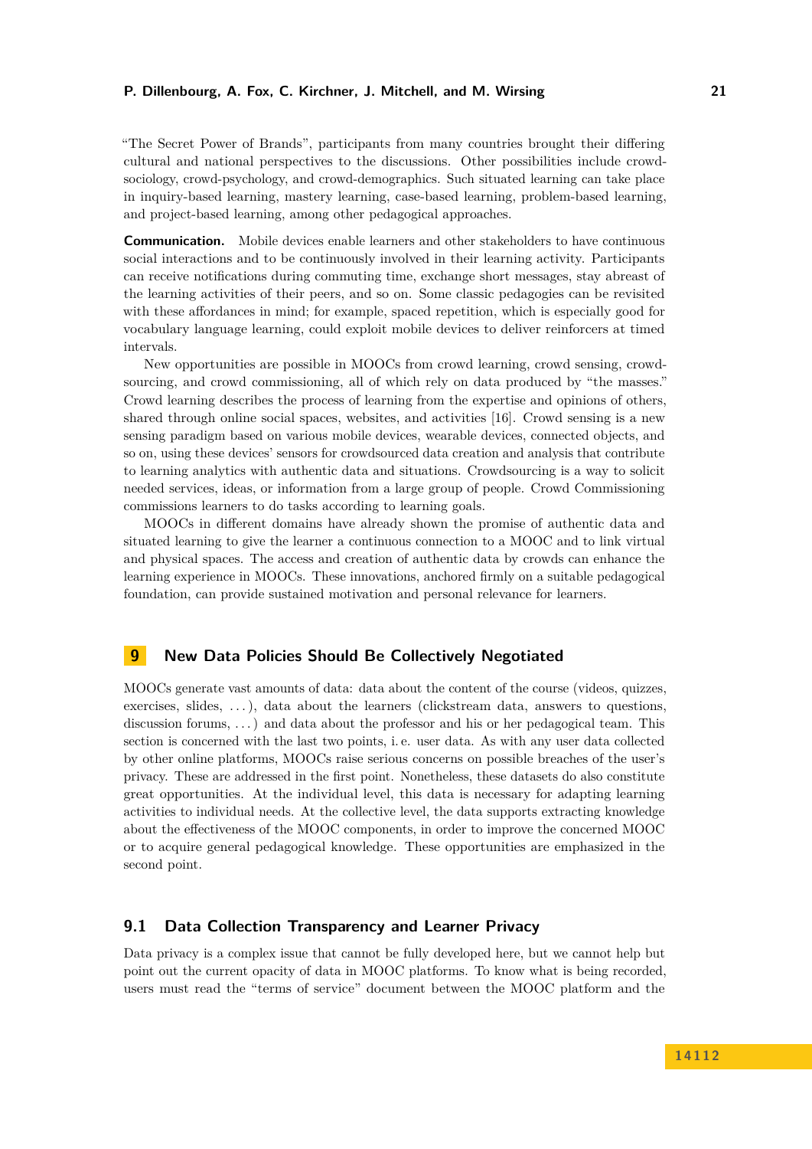"The Secret Power of Brands", participants from many countries brought their differing cultural and national perspectives to the discussions. Other possibilities include crowdsociology, crowd-psychology, and crowd-demographics. Such situated learning can take place in inquiry-based learning, mastery learning, case-based learning, problem-based learning, and project-based learning, among other pedagogical approaches.

**Communication.** Mobile devices enable learners and other stakeholders to have continuous social interactions and to be continuously involved in their learning activity. Participants can receive notifications during commuting time, exchange short messages, stay abreast of the learning activities of their peers, and so on. Some classic pedagogies can be revisited with these affordances in mind; for example, spaced repetition, which is especially good for vocabulary language learning, could exploit mobile devices to deliver reinforcers at timed intervals.

New opportunities are possible in MOOCs from crowd learning, crowd sensing, crowdsourcing, and crowd commissioning, all of which rely on data produced by "the masses." Crowd learning describes the process of learning from the expertise and opinions of others, shared through online social spaces, websites, and activities [\[16\]](#page-26-17). Crowd sensing is a new sensing paradigm based on various mobile devices, wearable devices, connected objects, and so on, using these devices' sensors for crowdsourced data creation and analysis that contribute to learning analytics with authentic data and situations. Crowdsourcing is a way to solicit needed services, ideas, or information from a large group of people. Crowd Commissioning commissions learners to do tasks according to learning goals.

MOOCs in different domains have already shown the promise of authentic data and situated learning to give the learner a continuous connection to a MOOC and to link virtual and physical spaces. The access and creation of authentic data by crowds can enhance the learning experience in MOOCs. These innovations, anchored firmly on a suitable pedagogical foundation, can provide sustained motivation and personal relevance for learners.

#### <span id="page-20-0"></span>**9 New Data Policies Should Be Collectively Negotiated**

MOOCs generate vast amounts of data: data about the content of the course (videos, quizzes, exercises, slides, . . . ), data about the learners (clickstream data, answers to questions, discussion forums, ...) and data about the professor and his or her pedagogical team. This section is concerned with the last two points, i. e. user data. As with any user data collected by other online platforms, MOOCs raise serious concerns on possible breaches of the user's privacy. These are addressed in the first point. Nonetheless, these datasets do also constitute great opportunities. At the individual level, this data is necessary for adapting learning activities to individual needs. At the collective level, the data supports extracting knowledge about the effectiveness of the MOOC components, in order to improve the concerned MOOC or to acquire general pedagogical knowledge. These opportunities are emphasized in the second point.

## <span id="page-20-1"></span>**9.1 Data Collection Transparency and Learner Privacy**

Data privacy is a complex issue that cannot be fully developed here, but we cannot help but point out the current opacity of data in MOOC platforms. To know what is being recorded, users must read the "terms of service" document between the MOOC platform and the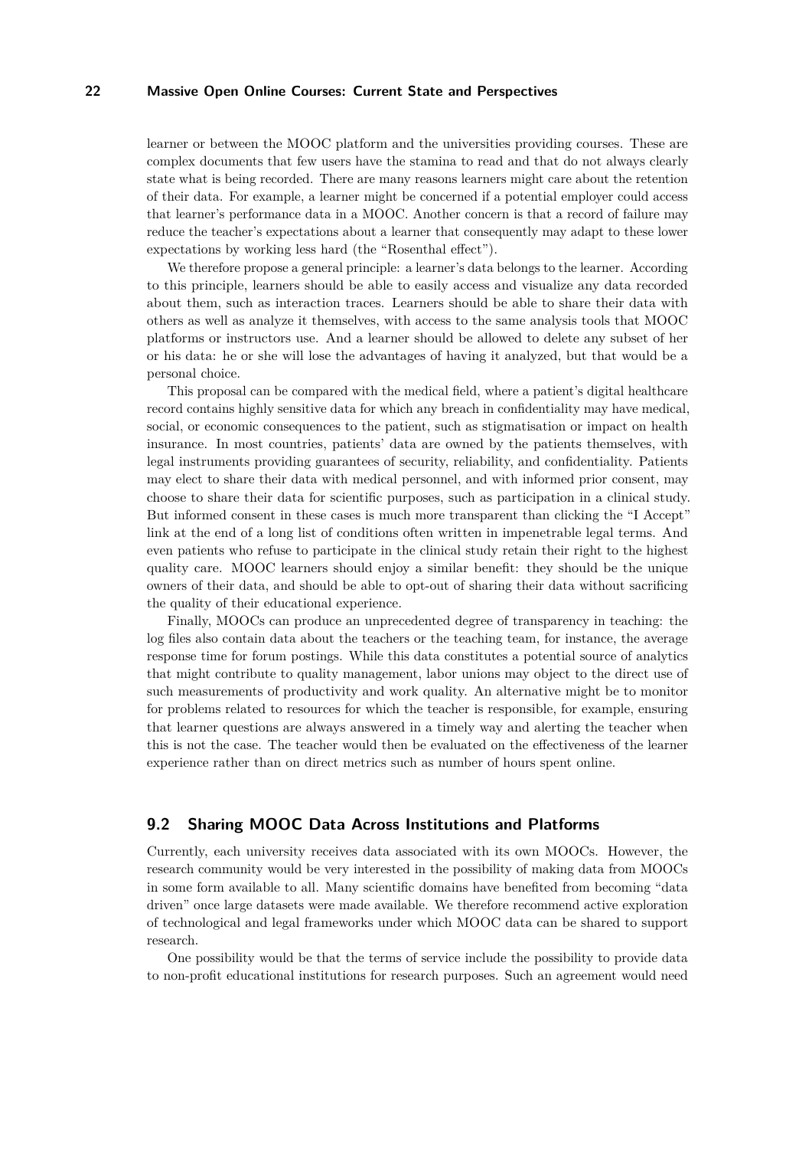learner or between the MOOC platform and the universities providing courses. These are complex documents that few users have the stamina to read and that do not always clearly state what is being recorded. There are many reasons learners might care about the retention of their data. For example, a learner might be concerned if a potential employer could access that learner's performance data in a MOOC. Another concern is that a record of failure may reduce the teacher's expectations about a learner that consequently may adapt to these lower expectations by working less hard (the "Rosenthal effect").

We therefore propose a general principle: a learner's data belongs to the learner. According to this principle, learners should be able to easily access and visualize any data recorded about them, such as interaction traces. Learners should be able to share their data with others as well as analyze it themselves, with access to the same analysis tools that MOOC platforms or instructors use. And a learner should be allowed to delete any subset of her or his data: he or she will lose the advantages of having it analyzed, but that would be a personal choice.

This proposal can be compared with the medical field, where a patient's digital healthcare record contains highly sensitive data for which any breach in confidentiality may have medical, social, or economic consequences to the patient, such as stigmatisation or impact on health insurance. In most countries, patients' data are owned by the patients themselves, with legal instruments providing guarantees of security, reliability, and confidentiality. Patients may elect to share their data with medical personnel, and with informed prior consent, may choose to share their data for scientific purposes, such as participation in a clinical study. But informed consent in these cases is much more transparent than clicking the "I Accept" link at the end of a long list of conditions often written in impenetrable legal terms. And even patients who refuse to participate in the clinical study retain their right to the highest quality care. MOOC learners should enjoy a similar benefit: they should be the unique owners of their data, and should be able to opt-out of sharing their data without sacrificing the quality of their educational experience.

Finally, MOOCs can produce an unprecedented degree of transparency in teaching: the log files also contain data about the teachers or the teaching team, for instance, the average response time for forum postings. While this data constitutes a potential source of analytics that might contribute to quality management, labor unions may object to the direct use of such measurements of productivity and work quality. An alternative might be to monitor for problems related to resources for which the teacher is responsible, for example, ensuring that learner questions are always answered in a timely way and alerting the teacher when this is not the case. The teacher would then be evaluated on the effectiveness of the learner experience rather than on direct metrics such as number of hours spent online.

#### <span id="page-21-0"></span>**9.2 Sharing MOOC Data Across Institutions and Platforms**

Currently, each university receives data associated with its own MOOCs. However, the research community would be very interested in the possibility of making data from MOOCs in some form available to all. Many scientific domains have benefited from becoming "data driven" once large datasets were made available. We therefore recommend active exploration of technological and legal frameworks under which MOOC data can be shared to support research.

One possibility would be that the terms of service include the possibility to provide data to non-profit educational institutions for research purposes. Such an agreement would need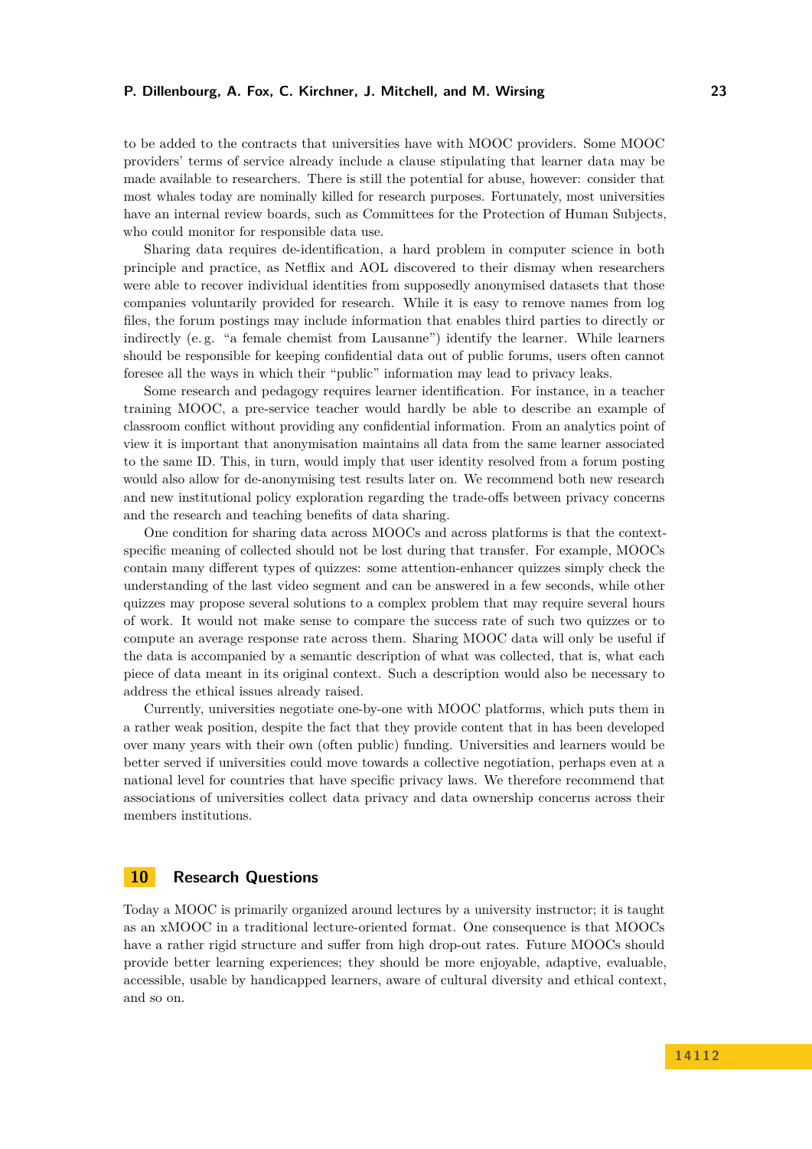to be added to the contracts that universities have with MOOC providers. Some MOOC providers' terms of service already include a clause stipulating that learner data may be made available to researchers. There is still the potential for abuse, however: consider that most whales today are nominally killed for research purposes. Fortunately, most universities have an internal review boards, such as Committees for the Protection of Human Subjects, who could monitor for responsible data use.

Sharing data requires de-identification, a hard problem in computer science in both principle and practice, as Netflix and AOL discovered to their dismay when researchers were able to recover individual identities from supposedly anonymised datasets that those companies voluntarily provided for research. While it is easy to remove names from log files, the forum postings may include information that enables third parties to directly or indirectly (e. g. "a female chemist from Lausanne") identify the learner. While learners should be responsible for keeping confidential data out of public forums, users often cannot foresee all the ways in which their "public" information may lead to privacy leaks.

Some research and pedagogy requires learner identification. For instance, in a teacher training MOOC, a pre-service teacher would hardly be able to describe an example of classroom conflict without providing any confidential information. From an analytics point of view it is important that anonymisation maintains all data from the same learner associated to the same ID. This, in turn, would imply that user identity resolved from a forum posting would also allow for de-anonymising test results later on. We recommend both new research and new institutional policy exploration regarding the trade-offs between privacy concerns and the research and teaching benefits of data sharing.

One condition for sharing data across MOOCs and across platforms is that the contextspecific meaning of collected should not be lost during that transfer. For example, MOOCs contain many different types of quizzes: some attention-enhancer quizzes simply check the understanding of the last video segment and can be answered in a few seconds, while other quizzes may propose several solutions to a complex problem that may require several hours of work. It would not make sense to compare the success rate of such two quizzes or to compute an average response rate across them. Sharing MOOC data will only be useful if the data is accompanied by a semantic description of what was collected, that is, what each piece of data meant in its original context. Such a description would also be necessary to address the ethical issues already raised.

Currently, universities negotiate one-by-one with MOOC platforms, which puts them in a rather weak position, despite the fact that they provide content that in has been developed over many years with their own (often public) funding. Universities and learners would be better served if universities could move towards a collective negotiation, perhaps even at a national level for countries that have specific privacy laws. We therefore recommend that associations of universities collect data privacy and data ownership concerns across their members institutions.

# <span id="page-22-0"></span>**10 Research Questions**

Today a MOOC is primarily organized around lectures by a university instructor; it is taught as an xMOOC in a traditional lecture-oriented format. One consequence is that MOOCs have a rather rigid structure and suffer from high drop-out rates. Future MOOCs should provide better learning experiences; they should be more enjoyable, adaptive, evaluable, accessible, usable by handicapped learners, aware of cultural diversity and ethical context, and so on.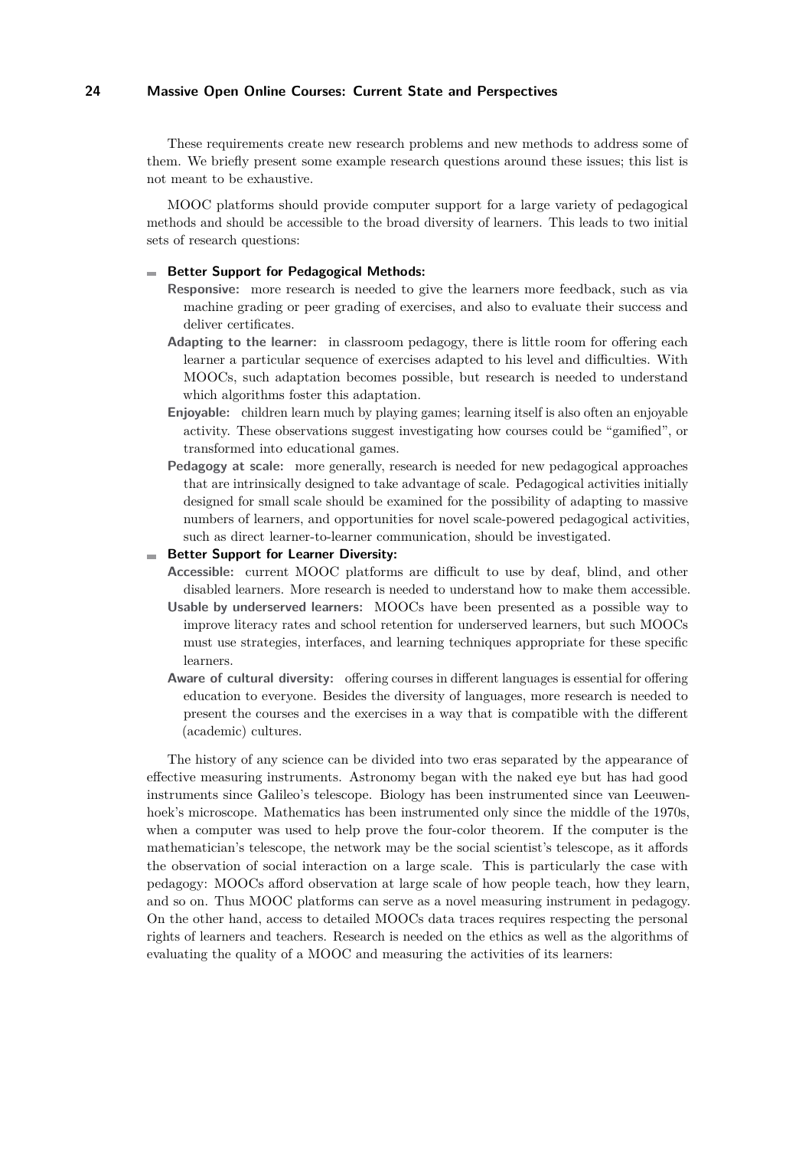These requirements create new research problems and new methods to address some of them. We briefly present some example research questions around these issues; this list is not meant to be exhaustive.

MOOC platforms should provide computer support for a large variety of pedagogical methods and should be accessible to the broad diversity of learners. This leads to two initial sets of research questions:

#### **Better Support for Pedagogical Methods:**

- **Responsive:** more research is needed to give the learners more feedback, such as via machine grading or peer grading of exercises, and also to evaluate their success and deliver certificates.
- **Adapting to the learner:** in classroom pedagogy, there is little room for offering each learner a particular sequence of exercises adapted to his level and difficulties. With MOOCs, such adaptation becomes possible, but research is needed to understand which algorithms foster this adaptation.
- **Enjoyable:** children learn much by playing games; learning itself is also often an enjoyable activity. These observations suggest investigating how courses could be "gamified", or transformed into educational games.
- **Pedagogy at scale:** more generally, research is needed for new pedagogical approaches that are intrinsically designed to take advantage of scale. Pedagogical activities initially designed for small scale should be examined for the possibility of adapting to massive numbers of learners, and opportunities for novel scale-powered pedagogical activities, such as direct learner-to-learner communication, should be investigated.

#### **Better Support for Learner Diversity:**

learners.

- **Accessible:** current MOOC platforms are difficult to use by deaf, blind, and other disabled learners. More research is needed to understand how to make them accessible. **Usable by underserved learners:** MOOCs have been presented as a possible way to improve literacy rates and school retention for underserved learners, but such MOOCs must use strategies, interfaces, and learning techniques appropriate for these specific
- **Aware of cultural diversity:** offering courses in different languages is essential for offering education to everyone. Besides the diversity of languages, more research is needed to present the courses and the exercises in a way that is compatible with the different (academic) cultures.

The history of any science can be divided into two eras separated by the appearance of effective measuring instruments. Astronomy began with the naked eye but has had good instruments since Galileo's telescope. Biology has been instrumented since van Leeuwenhoek's microscope. Mathematics has been instrumented only since the middle of the 1970s, when a computer was used to help prove the four-color theorem. If the computer is the mathematician's telescope, the network may be the social scientist's telescope, as it affords the observation of social interaction on a large scale. This is particularly the case with pedagogy: MOOCs afford observation at large scale of how people teach, how they learn, and so on. Thus MOOC platforms can serve as a novel measuring instrument in pedagogy. On the other hand, access to detailed MOOCs data traces requires respecting the personal rights of learners and teachers. Research is needed on the ethics as well as the algorithms of evaluating the quality of a MOOC and measuring the activities of its learners: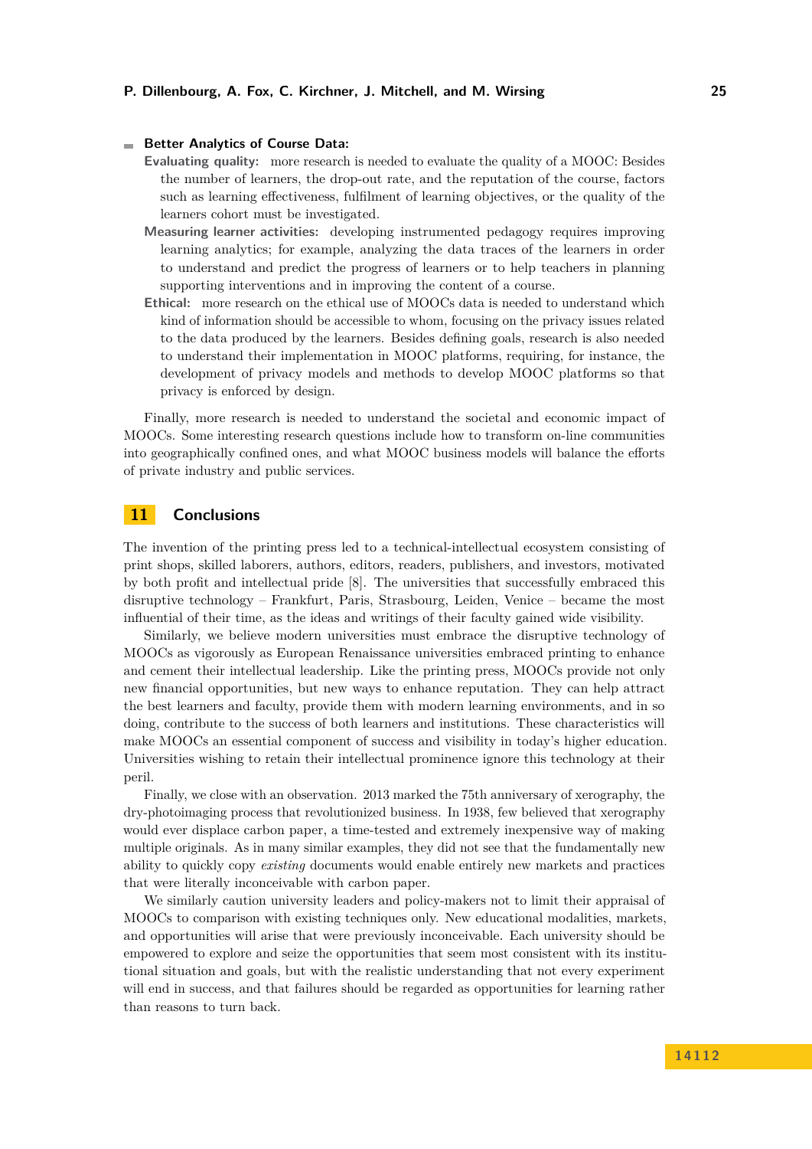#### **Better Analytics of Course Data:**

- **Evaluating quality:** more research is needed to evaluate the quality of a MOOC: Besides the number of learners, the drop-out rate, and the reputation of the course, factors such as learning effectiveness, fulfilment of learning objectives, or the quality of the learners cohort must be investigated.
- **Measuring learner activities:** developing instrumented pedagogy requires improving learning analytics; for example, analyzing the data traces of the learners in order to understand and predict the progress of learners or to help teachers in planning supporting interventions and in improving the content of a course.
- **Ethical:** more research on the ethical use of MOOCs data is needed to understand which kind of information should be accessible to whom, focusing on the privacy issues related to the data produced by the learners. Besides defining goals, research is also needed to understand their implementation in MOOC platforms, requiring, for instance, the development of privacy models and methods to develop MOOC platforms so that privacy is enforced by design.

Finally, more research is needed to understand the societal and economic impact of MOOCs. Some interesting research questions include how to transform on-line communities into geographically confined ones, and what MOOC business models will balance the efforts of private industry and public services.

## <span id="page-24-0"></span>**11 Conclusions**

The invention of the printing press led to a technical-intellectual ecosystem consisting of print shops, skilled laborers, authors, editors, readers, publishers, and investors, motivated by both profit and intellectual pride [\[8\]](#page-26-18). The universities that successfully embraced this disruptive technology – Frankfurt, Paris, Strasbourg, Leiden, Venice – became the most influential of their time, as the ideas and writings of their faculty gained wide visibility.

Similarly, we believe modern universities must embrace the disruptive technology of MOOCs as vigorously as European Renaissance universities embraced printing to enhance and cement their intellectual leadership. Like the printing press, MOOCs provide not only new financial opportunities, but new ways to enhance reputation. They can help attract the best learners and faculty, provide them with modern learning environments, and in so doing, contribute to the success of both learners and institutions. These characteristics will make MOOCs an essential component of success and visibility in today's higher education. Universities wishing to retain their intellectual prominence ignore this technology at their peril.

Finally, we close with an observation. 2013 marked the 75th anniversary of xerography, the dry-photoimaging process that revolutionized business. In 1938, few believed that xerography would ever displace carbon paper, a time-tested and extremely inexpensive way of making multiple originals. As in many similar examples, they did not see that the fundamentally new ability to quickly copy *existing* documents would enable entirely new markets and practices that were literally inconceivable with carbon paper.

We similarly caution university leaders and policy-makers not to limit their appraisal of MOOCs to comparison with existing techniques only. New educational modalities, markets, and opportunities will arise that were previously inconceivable. Each university should be empowered to explore and seize the opportunities that seem most consistent with its institutional situation and goals, but with the realistic understanding that not every experiment will end in success, and that failures should be regarded as opportunities for learning rather than reasons to turn back.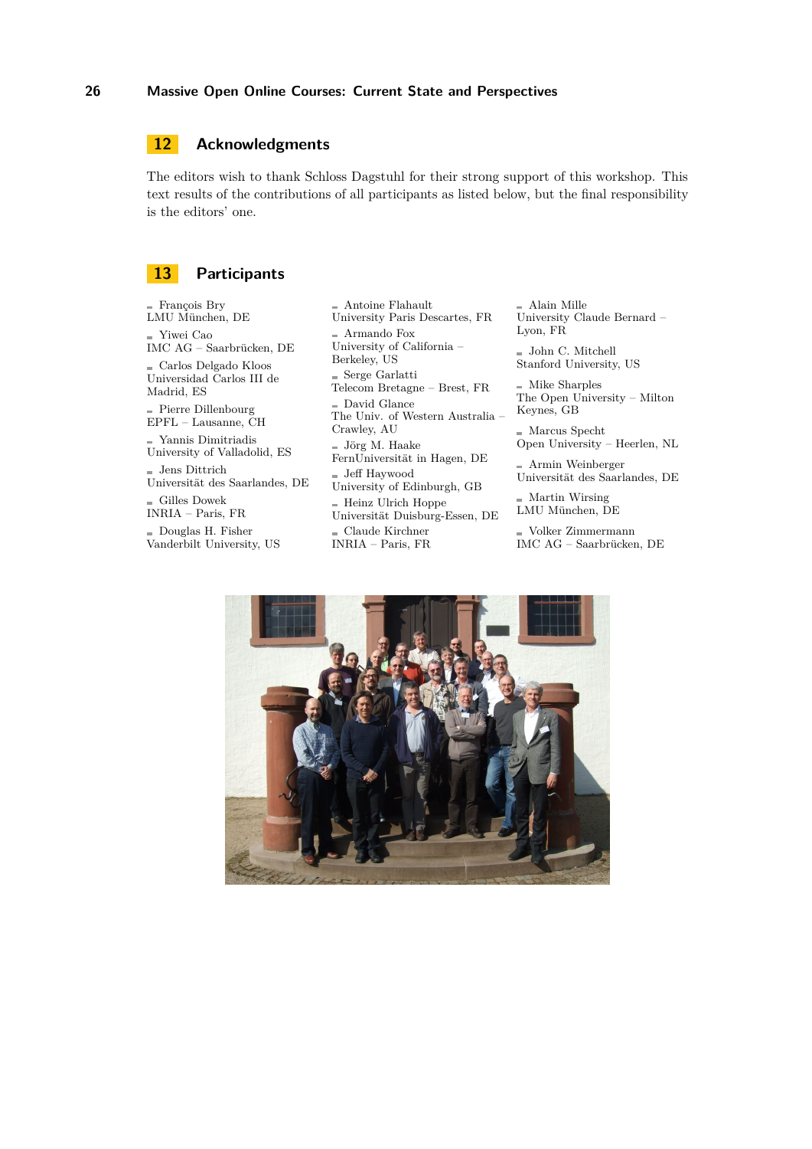# <span id="page-25-0"></span>**12 Acknowledgments**

The editors wish to thank Schloss Dagstuhl for their strong support of this workshop. This text results of the contributions of all participants as listed below, but the final responsibility is the editors' one.

## <span id="page-25-1"></span>**13 Participants**

François Bry LMU München, DE Yiwei Cao IMC AG – Saarbrücken, DE Carlos Delgado Kloos Universidad Carlos III de Madrid, ES Pierre Dillenbourg EPFL – Lausanne, CH  $\blacksquare$  Yannis Dimitriadis University of Valladolid, ES  $=$  Jens Dittrich  $\,$ Universität des Saarlandes, DE  $\equiv$  Gilles Dowek INRIA – Paris, FR Douglas H. Fisher Vanderbilt University, US

Antoine Flahault University Paris Descartes, FR  $\blacksquare$  Armando Fox University of California – Berkeley, US  $=$  Serge Garlatti Telecom Bretagne – Brest, FR David Glance The Univ. of Western Australia – Crawley, AU  $=$  Jörg M. Haake FernUniversität in Hagen, DE Jeff Haywood University of Edinburgh, GB  $=$  Heinz Ulrich Hoppe Universität Duisburg-Essen, DE  $\equiv$  Claude Kirchner INRIA – Paris, FR

Alain Mille University Claude Bernard – Lyon, FR

 $\equiv$  John C. Mitchell Stanford University, US

Mike Sharples The Open University – Milton Keynes, GB

Marcus Specht Open University – Heerlen, NL

Armin Weinberger Universität des Saarlandes, DE

 $=$  Martin Wirsing LMU München, DE

Volker Zimmermann IMC AG – Saarbrücken, DE